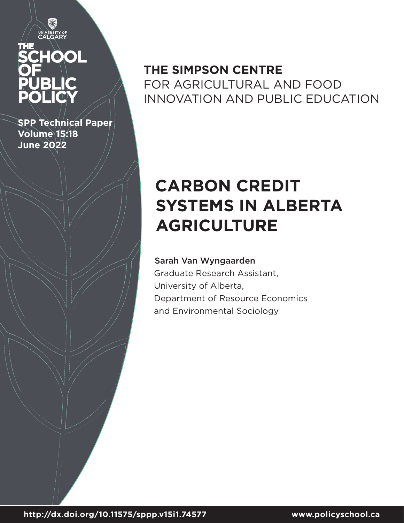# UNIVERSITY OF<br>CALGARY HOOL

Ö

**SPP Technical Paper Volume 15:18 June 2022**

## **THE SIMPSON CENTRE**  FOR AGRICULTURAL AND FOOD INNOVATION AND PUBLIC EDUCATION

# **CARBON CREDIT SYSTEMS IN ALBERTA AGRICULTURE**

## Sarah Van Wyngaarden

Graduate Research Assistant, University of Alberta, Department of Resource Economics and Environmental Sociology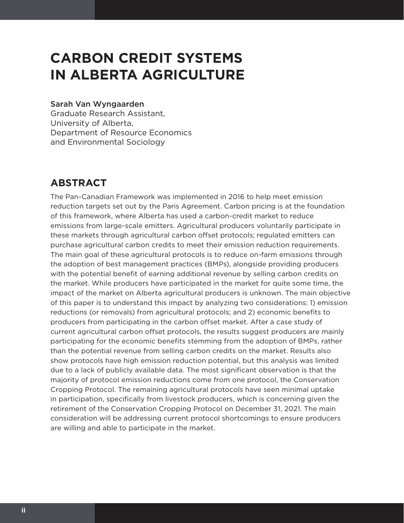## **CARBON CREDIT SYSTEMS IN ALBERTA AGRICULTURE**

#### Sarah Van Wyngaarden

Graduate Research Assistant, University of Alberta, Department of Resource Economics and Environmental Sociology

## **ABSTRACT**

The Pan-Canadian Framework was implemented in 2016 to help meet emission reduction targets set out by the Paris Agreement. Carbon pricing is at the foundation of this framework, where Alberta has used a carbon-credit market to reduce emissions from large-scale emitters. Agricultural producers voluntarily participate in these markets through agricultural carbon offset protocols; regulated emitters can purchase agricultural carbon credits to meet their emission reduction requirements. The main goal of these agricultural protocols is to reduce on-farm emissions through the adoption of best management practices (BMPs), alongside providing producers with the potential benefit of earning additional revenue by selling carbon credits on the market. While producers have participated in the market for quite some time, the impact of the market on Alberta agricultural producers is unknown. The main objective of this paper is to understand this impact by analyzing two considerations: 1) emission reductions (or removals) from agricultural protocols; and 2) economic benefits to producers from participating in the carbon offset market. After a case study of current agricultural carbon offset protocols, the results suggest producers are mainly participating for the economic benefits stemming from the adoption of BMPs, rather than the potential revenue from selling carbon credits on the market. Results also show protocols have high emission reduction potential, but this analysis was limited due to a lack of publicly available data. The most significant observation is that the majority of protocol emission reductions come from one protocol, the Conservation Cropping Protocol. The remaining agricultural protocols have seen minimal uptake in participation, specifically from livestock producers, which is concerning given the retirement of the Conservation Cropping Protocol on December 31, 2021. The main consideration will be addressing current protocol shortcomings to ensure producers are willing and able to participate in the market.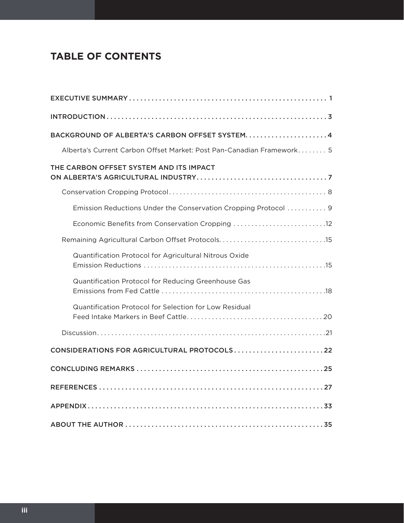## **TABLE OF CONTENTS**

| BACKGROUND OF ALBERTA'S CARBON OFFSET SYSTEM 4                        |
|-----------------------------------------------------------------------|
| Alberta's Current Carbon Offset Market: Post Pan-Canadian Framework 5 |
| THE CARBON OFFSET SYSTEM AND ITS IMPACT                               |
|                                                                       |
| Emission Reductions Under the Conservation Cropping Protocol  9       |
|                                                                       |
| Remaining Agricultural Carbon Offset Protocols15                      |
| Quantification Protocol for Agricultural Nitrous Oxide                |
| Quantification Protocol for Reducing Greenhouse Gas                   |
| Quantification Protocol for Selection for Low Residual                |
|                                                                       |
| CONSIDERATIONS FOR AGRICULTURAL PROTOCOLS22                           |
|                                                                       |
|                                                                       |
|                                                                       |
|                                                                       |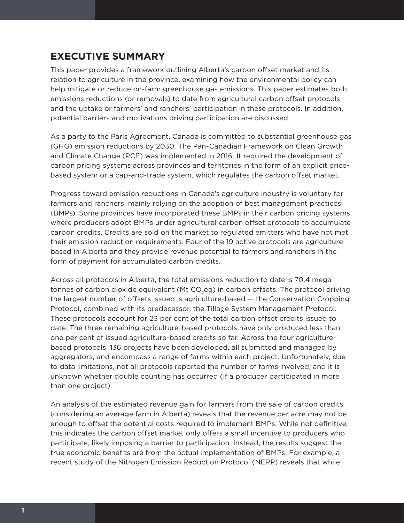## **EXECUTIVE SUMMARY**

This paper provides a framework outlining Alberta's carbon offset market and its relation to agriculture in the province, examining how the environmental policy can help mitigate or reduce on-farm greenhouse gas emissions. This paper estimates both emissions reductions (or removals) to date from agricultural carbon offset protocols and the uptake or farmers' and ranchers' participation in these protocols. In addition, potential barriers and motivations driving participation are discussed.

As a party to the Paris Agreement, Canada is committed to substantial greenhouse gas (GHG) emission reductions by 2030. The Pan-Canadian Framework on Clean Growth and Climate Change (PCF) was implemented in 2016. It required the development of carbon pricing systems across provinces and territories in the form of an explicit pricebased system or a cap-and-trade system, which regulates the carbon offset market.

Progress toward emission reductions in Canada's agriculture industry is voluntary for farmers and ranchers, mainly relying on the adoption of best management practices (BMPs). Some provinces have incorporated these BMPs in their carbon pricing systems, where producers adopt BMPs under agricultural carbon offset protocols to accumulate carbon credits. Credits are sold on the market to regulated emitters who have not met their emission reduction requirements. Four of the 19 active protocols are agriculturebased in Alberta and they provide revenue potential to farmers and ranchers in the form of payment for accumulated carbon credits.

Across all protocols in Alberta, the total emissions reduction to date is 70.4 mega tonnes of carbon dioxide equivalent (Mt CO<sub>2</sub>eq) in carbon offsets. The protocol driving the largest number of offsets issued is agriculture-based — the Conservation Cropping Protocol, combined with its predecessor, the Tillage System Management Protocol. These protocols account for 23 per cent of the total carbon offset credits issued to date. The three remaining agriculture-based protocols have only produced less than one per cent of issued agriculture-based credits so far. Across the four agriculturebased protocols, 136 projects have been developed, all submitted and managed by aggregators, and encompass a range of farms within each project. Unfortunately, due to data limitations, not all protocols reported the number of farms involved, and it is unknown whether double counting has occurred (if a producer participated in more than one project).

An analysis of the estimated revenue gain for farmers from the sale of carbon credits (considering an average farm in Alberta) reveals that the revenue per acre may not be enough to offset the potential costs required to implement BMPs. While not definitive, this indicates the carbon offset market only offers a small incentive to producers who participate, likely imposing a barrier to participation. Instead, the results suggest the true economic benefits are from the actual implementation of BMPs. For example, a recent study of the Nitrogen Emission Reduction Protocol (NERP) reveals that while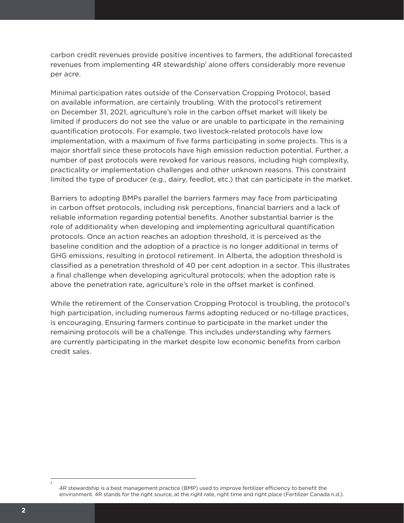carbon credit revenues provide positive incentives to farmers, the additional forecasted revenues from implementing 4R stewardship<sup>1</sup> alone offers considerably more revenue per acre.

Minimal participation rates outside of the Conservation Cropping Protocol, based on available information, are certainly troubling. With the protocol's retirement on December 31, 2021, agriculture's role in the carbon offset market will likely be limited if producers do not see the value or are unable to participate in the remaining quantification protocols. For example, two livestock-related protocols have low implementation, with a maximum of five farms participating in some projects. This is a major shortfall since these protocols have high emission reduction potential. Further, a number of past protocols were revoked for various reasons, including high complexity, practicality or implementation challenges and other unknown reasons. This constraint limited the type of producer (e.g., dairy, feedlot, etc.) that can participate in the market.

Barriers to adopting BMPs parallel the barriers farmers may face from participating in carbon offset protocols, including risk perceptions, financial barriers and a lack of reliable information regarding potential benefits. Another substantial barrier is the role of additionality when developing and implementing agricultural quantification protocols. Once an action reaches an adoption threshold, it is perceived as the baseline condition and the adoption of a practice is no longer additional in terms of GHG emissions, resulting in protocol retirement. In Alberta, the adoption threshold is classified as a penetration threshold of 40 per cent adoption in a sector. This illustrates a final challenge when developing agricultural protocols; when the adoption rate is above the penetration rate, agriculture's role in the offset market is confined.

While the retirement of the Conservation Cropping Protocol is troubling, the protocol's high participation, including numerous farms adopting reduced or no-tillage practices, is encouraging. Ensuring farmers continue to participate in the market under the remaining protocols will be a challenge. This includes understanding why farmers are currently participating in the market despite low economic benefits from carbon credit sales.

*1*

<sup>4</sup>R stewardship is a best management practice (BMP) used to improve fertilizer efficiency to benefit the environment. 4R stands for the right source, at the right rate, right time and right place (Fertilizer Canada n.d.).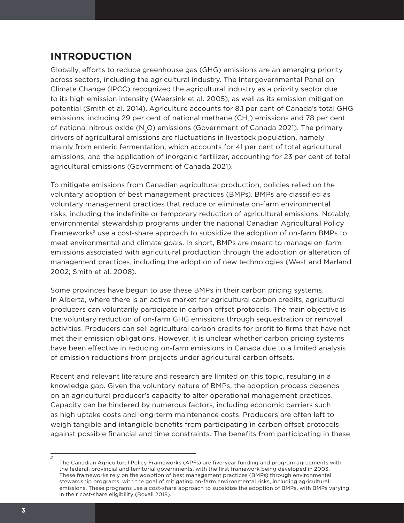## **INTRODUCTION**

Globally, efforts to reduce greenhouse gas (GHG) emissions are an emerging priority across sectors, including the agricultural industry. The Intergovernmental Panel on Climate Change (IPCC) recognized the agricultural industry as a priority sector due to its high emission intensity (Weersink et al. 2005), as well as its emission mitigation potential (Smith et al. 2014). Agriculture accounts for 8.1 per cent of Canada's total GHG emissions, including 29 per cent of national methane  $(CH_A)$  emissions and 78 per cent of national nitrous oxide (N<sub>2</sub>O) emissions (Government of Canada 2021). The primary drivers of agricultural emissions are fluctuations in livestock population, namely mainly from enteric fermentation, which accounts for 41 per cent of total agricultural emissions, and the application of inorganic fertilizer, accounting for 23 per cent of total agricultural emissions (Government of Canada 2021).

To mitigate emissions from Canadian agricultural production, policies relied on the voluntary adoption of best management practices (BMPs). BMPs are classified as voluntary management practices that reduce or eliminate on-farm environmental risks, including the indefinite or temporary reduction of agricultural emissions. Notably, environmental stewardship programs under the national Canadian Agricultural Policy Frameworks<sup>2</sup> use a cost-share approach to subsidize the adoption of on-farm BMPs to meet environmental and climate goals. In short, BMPs are meant to manage on-farm emissions associated with agricultural production through the adoption or alteration of management practices, including the adoption of new technologies (West and Marland 2002; Smith et al. 2008).

Some provinces have begun to use these BMPs in their carbon pricing systems. In Alberta, where there is an active market for agricultural carbon credits, agricultural producers can voluntarily participate in carbon offset protocols. The main objective is the voluntary reduction of on-farm GHG emissions through sequestration or removal activities. Producers can sell agricultural carbon credits for profit to firms that have not met their emission obligations. However, it is unclear whether carbon pricing systems have been effective in reducing on-farm emissions in Canada due to a limited analysis of emission reductions from projects under agricultural carbon offsets.

Recent and relevant literature and research are limited on this topic, resulting in a knowledge gap. Given the voluntary nature of BMPs, the adoption process depends on an agricultural producer's capacity to alter operational management practices. Capacity can be hindered by numerous factors, including economic barriers such as high uptake costs and long-term maintenance costs. Producers are often left to weigh tangible and intangible benefits from participating in carbon offset protocols against possible financial and time constraints. The benefits from participating in these

*2*

The Canadian Agricultural Policy Frameworks (APFs) are five-year funding and program agreements with the federal, provincial and territorial governments, with the first framework being developed in 2003. These frameworks rely on the adoption of best management practices (BMPs) through environmental stewardship programs, with the goal of mitigating on-farm environmental risks, including agricultural emissions. These programs use a cost-share approach to subsidize the adoption of BMPs, with BMPs varying in their cost-share eligibility (Boxall 2018).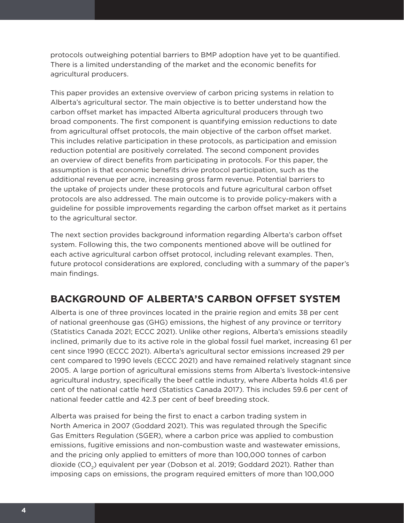protocols outweighing potential barriers to BMP adoption have yet to be quantified. There is a limited understanding of the market and the economic benefits for agricultural producers.

This paper provides an extensive overview of carbon pricing systems in relation to Alberta's agricultural sector. The main objective is to better understand how the carbon offset market has impacted Alberta agricultural producers through two broad components. The first component is quantifying emission reductions to date from agricultural offset protocols, the main objective of the carbon offset market. This includes relative participation in these protocols, as participation and emission reduction potential are positively correlated. The second component provides an overview of direct benefits from participating in protocols. For this paper, the assumption is that economic benefits drive protocol participation, such as the additional revenue per acre, increasing gross farm revenue. Potential barriers to the uptake of projects under these protocols and future agricultural carbon offset protocols are also addressed. The main outcome is to provide policy-makers with a guideline for possible improvements regarding the carbon offset market as it pertains to the agricultural sector.

The next section provides background information regarding Alberta's carbon offset system. Following this, the two components mentioned above will be outlined for each active agricultural carbon offset protocol, including relevant examples. Then, future protocol considerations are explored, concluding with a summary of the paper's main findings.

## **BACKGROUND OF ALBERTA'S CARBON OFFSET SYSTEM**

Alberta is one of three provinces located in the prairie region and emits 38 per cent of national greenhouse gas (GHG) emissions, the highest of any province or territory (Statistics Canada 2021; ECCC 2021). Unlike other regions, Alberta's emissions steadily inclined, primarily due to its active role in the global fossil fuel market, increasing 61 per cent since 1990 (ECCC 2021). Alberta's agricultural sector emissions increased 29 per cent compared to 1990 levels (ECCC 2021) and have remained relatively stagnant since 2005. A large portion of agricultural emissions stems from Alberta's livestock-intensive agricultural industry, specifically the beef cattle industry, where Alberta holds 41.6 per cent of the national cattle herd (Statistics Canada 2017). This includes 59.6 per cent of national feeder cattle and 42.3 per cent of beef breeding stock.

Alberta was praised for being the first to enact a carbon trading system in North America in 2007 (Goddard 2021). This was regulated through the Specific Gas Emitters Regulation (SGER), where a carbon price was applied to combustion emissions, fugitive emissions and non-combustion waste and wastewater emissions, and the pricing only applied to emitters of more than 100,000 tonnes of carbon dioxide (CO<sub>2</sub>) equivalent per year (Dobson et al. 2019; Goddard 2021). Rather than imposing caps on emissions, the program required emitters of more than 100,000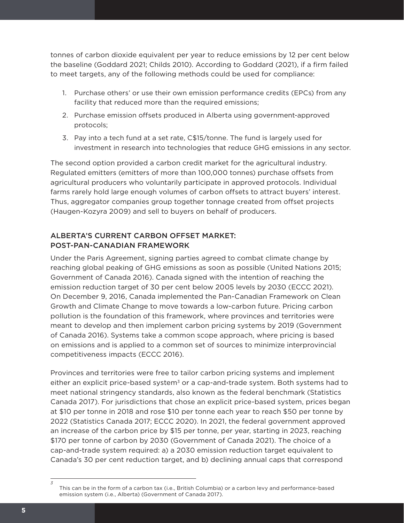tonnes of carbon dioxide equivalent per year to reduce emissions by 12 per cent below the baseline (Goddard 2021; Childs 2010). According to Goddard (2021), if a firm failed to meet targets, any of the following methods could be used for compliance:

- 1. Purchase others' or use their own emission performance credits (EPCs) from any facility that reduced more than the required emissions;
- 2. Purchase emission offsets produced in Alberta using government-approved protocols;
- 3. Pay into a tech fund at a set rate, C\$15/tonne. The fund is largely used for investment in research into technologies that reduce GHG emissions in any sector.

The second option provided a carbon credit market for the agricultural industry. Regulated emitters (emitters of more than 100,000 tonnes) purchase offsets from agricultural producers who voluntarily participate in approved protocols. Individual farms rarely hold large enough volumes of carbon offsets to attract buyers' interest. Thus, aggregator companies group together tonnage created from offset projects (Haugen-Kozyra 2009) and sell to buyers on behalf of producers.

#### ALBERTA'S CURRENT CARBON OFFSET MARKET: POST-PAN-CANADIAN FRAMEWORK

Under the Paris Agreement, signing parties agreed to combat climate change by reaching global peaking of GHG emissions as soon as possible (United Nations 2015; Government of Canada 2016). Canada signed with the intention of reaching the emission reduction target of 30 per cent below 2005 levels by 2030 (ECCC 2021). On December 9, 2016, Canada implemented the Pan-Canadian Framework on Clean Growth and Climate Change to move towards a low-carbon future. Pricing carbon pollution is the foundation of this framework, where provinces and territories were meant to develop and then implement carbon pricing systems by 2019 (Government of Canada 2016). Systems take a common scope approach, where pricing is based on emissions and is applied to a common set of sources to minimize interprovincial competitiveness impacts (ECCC 2016).

Provinces and territories were free to tailor carbon pricing systems and implement either an explicit price-based system $3$  or a cap-and-trade system. Both systems had to meet national stringency standards, also known as the federal benchmark (Statistics Canada 2017). For jurisdictions that chose an explicit price-based system, prices began at \$10 per tonne in 2018 and rose \$10 per tonne each year to reach \$50 per tonne by 2022 (Statistics Canada 2017; ECCC 2020). In 2021, the federal government approved an increase of the carbon price by \$15 per tonne, per year, starting in 2023, reaching \$170 per tonne of carbon by 2030 (Government of Canada 2021). The choice of a cap-and-trade system required: a) a 2030 emission reduction target equivalent to Canada's 30 per cent reduction target, and b) declining annual caps that correspond

*<sup>3</sup>* This can be in the form of a carbon tax (i.e., British Columbia) or a carbon levy and performance-based emission system (i.e., Alberta) (Government of Canada 2017).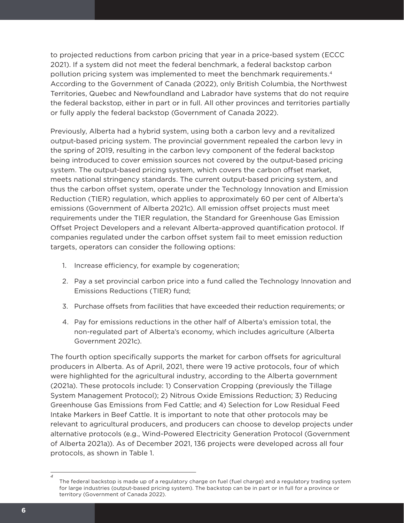to projected reductions from carbon pricing that year in a price-based system (ECCC 2021). If a system did not meet the federal benchmark, a federal backstop carbon pollution pricing system was implemented to meet the benchmark requirements.4 According to the Government of Canada (2022), only British Columbia, the Northwest Territories, Quebec and Newfoundland and Labrador have systems that do not require the federal backstop, either in part or in full. All other provinces and territories partially or fully apply the federal backstop (Government of Canada 2022).

Previously, Alberta had a hybrid system, using both a carbon levy and a revitalized output-based pricing system. The provincial government repealed the carbon levy in the spring of 2019, resulting in the carbon levy component of the federal backstop being introduced to cover emission sources not covered by the output-based pricing system. The output-based pricing system, which covers the carbon offset market, meets national stringency standards. The current output-based pricing system, and thus the carbon offset system, operate under the Technology Innovation and Emission Reduction (TIER) regulation, which applies to approximately 60 per cent of Alberta's emissions (Government of Alberta 2021c). All emission offset projects must meet requirements under the TIER regulation, the Standard for Greenhouse Gas Emission Offset Project Developers and a relevant Alberta-approved quantification protocol. If companies regulated under the carbon offset system fail to meet emission reduction targets, operators can consider the following options:

- 1. Increase efficiency, for example by cogeneration;
- 2. Pay a set provincial carbon price into a fund called the Technology Innovation and Emissions Reductions (TIER) fund;
- 3. Purchase offsets from facilities that have exceeded their reduction requirements; or
- 4. Pay for emissions reductions in the other half of Alberta's emission total, the non-regulated part of Alberta's economy, which includes agriculture (Alberta Government 2021c).

The fourth option specifically supports the market for carbon offsets for agricultural producers in Alberta. As of April, 2021, there were 19 active protocols, four of which were highlighted for the agricultural industry, according to the Alberta government (2021a). These protocols include: 1) Conservation Cropping (previously the Tillage System Management Protocol); 2) Nitrous Oxide Emissions Reduction; 3) Reducing Greenhouse Gas Emissions from Fed Cattle; and 4) Selection for Low Residual Feed Intake Markers in Beef Cattle. It is important to note that other protocols may be relevant to agricultural producers, and producers can choose to develop projects under alternative protocols (e.g., Wind-Powered Electricity Generation Protocol (Government of Alberta 2021a)). As of December 2021, 136 projects were developed across all four protocols, as shown in Table 1.

*<sup>4</sup>* The federal backstop is made up of a regulatory charge on fuel (fuel charge) and a regulatory trading system for large industries (output-based pricing system). The backstop can be in part or in full for a province or territory (Government of Canada 2022).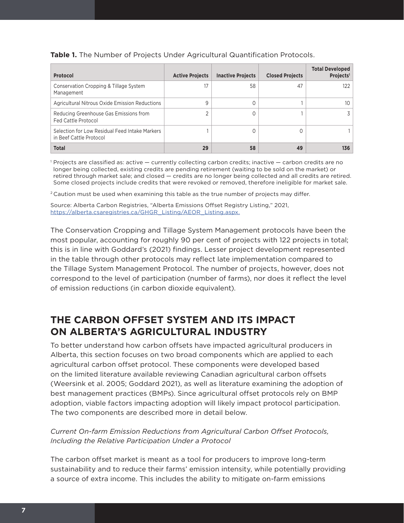| Protocol                                                                  | <b>Active Projects</b> | <b>Inactive Projects</b> | <b>Closed Projects</b> | <b>Total Developed</b><br>Projects <sup>1</sup> |
|---------------------------------------------------------------------------|------------------------|--------------------------|------------------------|-------------------------------------------------|
| Conservation Cropping & Tillage System<br>Management                      | 17                     | 58                       | 47                     | 122                                             |
| <b>Agricultural Nitrous Oxide Emission Reductions</b>                     | 9                      |                          |                        | 10                                              |
| Reducing Greenhouse Gas Emissions from<br><b>Fed Cattle Protocol</b>      |                        |                          |                        | 3.                                              |
| Selection for Low Residual Feed Intake Markers<br>in Beef Cattle Protocol |                        |                          | 0                      |                                                 |
| <b>Total</b>                                                              | 29                     | 58                       | 49                     | 136                                             |

**Table 1.** The Number of Projects Under Agricultural Quantification Protocols.

<sup>1</sup> Projects are classified as: active — currently collecting carbon credits; inactive — carbon credits are no longer being collected, existing credits are pending retirement (waiting to be sold on the market) or retired through market sale; and closed — credits are no longer being collected and all credits are retired. Some closed projects include credits that were revoked or removed, therefore ineligible for market sale.

<sup>2</sup> Caution must be used when examining this table as the true number of projects may differ.

Source: Alberta Carbon Registries, "Alberta Emissions Offset Registry Listing," 2021, [https://alberta.csaregistries.ca/GHGR\\_Listing/AEOR\\_Listing.aspx](https://alberta.csaregistries.ca/GHGR_Listing/AEOR_Listing.aspx).

The Conservation Cropping and Tillage System Management protocols have been the most popular, accounting for roughly 90 per cent of projects with 122 projects in total; this is in line with Goddard's (2021) findings. Lesser project development represented in the table through other protocols may reflect late implementation compared to the Tillage System Management Protocol. The number of projects, however, does not correspond to the level of participation (number of farms), nor does it reflect the level of emission reductions (in carbon dioxide equivalent).

## **THE CARBON OFFSET SYSTEM AND ITS IMPACT ON ALBERTA'S AGRICULTURAL INDUSTRY**

To better understand how carbon offsets have impacted agricultural producers in Alberta, this section focuses on two broad components which are applied to each agricultural carbon offset protocol. These components were developed based on the limited literature available reviewing Canadian agricultural carbon offsets (Weersink et al. 2005; Goddard 2021), as well as literature examining the adoption of best management practices (BMPs). Since agricultural offset protocols rely on BMP adoption, viable factors impacting adoption will likely impact protocol participation. The two components are described more in detail below.

#### *Current On-farm Emission Reductions from Agricultural Carbon Offset Protocols, Including the Relative Participation Under a Protocol*

The carbon offset market is meant as a tool for producers to improve long-term sustainability and to reduce their farms' emission intensity, while potentially providing a source of extra income. This includes the ability to mitigate on-farm emissions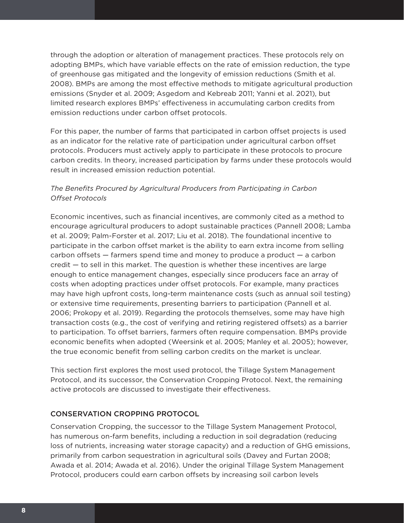through the adoption or alteration of management practices. These protocols rely on adopting BMPs, which have variable effects on the rate of emission reduction, the type of greenhouse gas mitigated and the longevity of emission reductions (Smith et al. 2008). BMPs are among the most effective methods to mitigate agricultural production emissions (Snyder et al. 2009; Asgedom and Kebreab 2011; Yanni et al. 2021), but limited research explores BMPs' effectiveness in accumulating carbon credits from emission reductions under carbon offset protocols.

For this paper, the number of farms that participated in carbon offset projects is used as an indicator for the relative rate of participation under agricultural carbon offset protocols. Producers must actively apply to participate in these protocols to procure carbon credits. In theory, increased participation by farms under these protocols would result in increased emission reduction potential.

#### *The Benefits Procured by Agricultural Producers from Participating in Carbon Offset Protocols*

Economic incentives, such as financial incentives, are commonly cited as a method to encourage agricultural producers to adopt sustainable practices (Pannell 2008; Lamba et al. 2009; Palm-Forster et al. 2017; Liu et al. 2018). The foundational incentive to participate in the carbon offset market is the ability to earn extra income from selling carbon offsets — farmers spend time and money to produce a product — a carbon credit — to sell in this market. The question is whether these incentives are large enough to entice management changes, especially since producers face an array of costs when adopting practices under offset protocols. For example, many practices may have high upfront costs, long-term maintenance costs (such as annual soil testing) or extensive time requirements, presenting barriers to participation (Pannell et al. 2006; Prokopy et al. 2019). Regarding the protocols themselves, some may have high transaction costs (e.g., the cost of verifying and retiring registered offsets) as a barrier to participation. To offset barriers, farmers often require compensation. BMPs provide economic benefits when adopted (Weersink et al. 2005; Manley et al. 2005); however, the true economic benefit from selling carbon credits on the market is unclear.

This section first explores the most used protocol, the Tillage System Management Protocol, and its successor, the Conservation Cropping Protocol. Next, the remaining active protocols are discussed to investigate their effectiveness.

#### CONSERVATION CROPPING PROTOCOL

Conservation Cropping, the successor to the Tillage System Management Protocol, has numerous on-farm benefits, including a reduction in soil degradation (reducing loss of nutrients, increasing water storage capacity) and a reduction of GHG emissions, primarily from carbon sequestration in agricultural soils (Davey and Furtan 2008; Awada et al. 2014; Awada et al. 2016). Under the original Tillage System Management Protocol, producers could earn carbon offsets by increasing soil carbon levels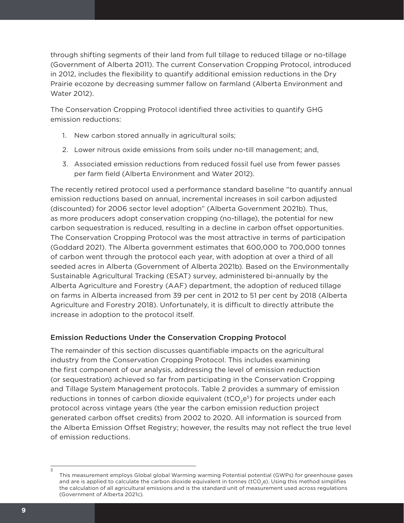through shifting segments of their land from full tillage to reduced tillage or no-tillage (Government of Alberta 2011). The current Conservation Cropping Protocol, introduced in 2012, includes the flexibility to quantify additional emission reductions in the Dry Prairie ecozone by decreasing summer fallow on farmland (Alberta Environment and Water 2012).

The Conservation Cropping Protocol identified three activities to quantify GHG emission reductions:

- 1. New carbon stored annually in agricultural soils;
- 2. Lower nitrous oxide emissions from soils under no-till management; and,
- 3. Associated emission reductions from reduced fossil fuel use from fewer passes per farm field (Alberta Environment and Water 2012).

The recently retired protocol used a performance standard baseline "to quantify annual emission reductions based on annual, incremental increases in soil carbon adjusted (discounted) for 2006 sector level adoption" (Alberta Government 2021b). Thus, as more producers adopt conservation cropping (no-tillage), the potential for new carbon sequestration is reduced, resulting in a decline in carbon offset opportunities. The Conservation Cropping Protocol was the most attractive in terms of participation (Goddard 2021). The Alberta government estimates that 600,000 to 700,000 tonnes of carbon went through the protocol each year, with adoption at over a third of all seeded acres in Alberta (Government of Alberta 2021b). Based on the Environmentally Sustainable Agricultural Tracking (ESAT) survey, administered bi-annually by the Alberta Agriculture and Forestry (AAF) department, the adoption of reduced tillage on farms in Alberta increased from 39 per cent in 2012 to 51 per cent by 2018 (Alberta Agriculture and Forestry 2018). Unfortunately, it is difficult to directly attribute the increase in adoption to the protocol itself.

#### Emission Reductions Under the Conservation Cropping Protocol

The remainder of this section discusses quantifiable impacts on the agricultural industry from the Conservation Cropping Protocol. This includes examining the first component of our analysis, addressing the level of emission reduction (or sequestration) achieved so far from participating in the Conservation Cropping and Tillage System Management protocols. Table 2 provides a summary of emission reductions in tonnes of carbon dioxide equivalent ( $tCO<sub>2</sub>e<sup>5</sup>$ ) for projects under each protocol across vintage years (the year the carbon emission reduction project generated carbon offset credits) from 2002 to 2020. All information is sourced from the Alberta Emission Offset Registry; however, the results may not reflect the true level of emission reductions.

*<sup>5</sup>* This measurement employs Global global Warming warming Potential potential (GWPs) for greenhouse gases and are is applied to calculate the carbon dioxide equivalent in tonnes (tCO<sub>2</sub>e). Using this method simplifies the calculation of all agricultural emissions and is the standard unit of measurement used across regulations (Government of Alberta 2021c).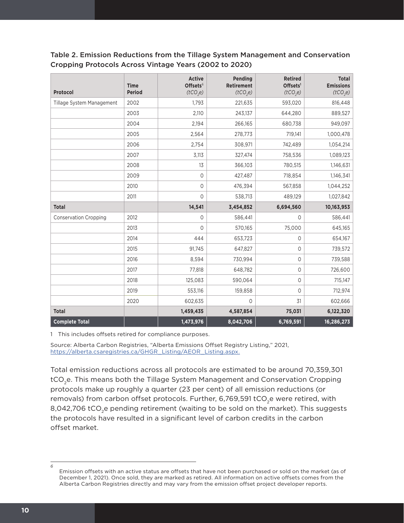| Table 2. Emission Reductions from the Tillage System Management and Conservation |
|----------------------------------------------------------------------------------|
| Cropping Protocols Across Vintage Years (2002 to 2020)                           |

| Protocol                     | <b>Time</b><br><b>Period</b> | <b>Active</b><br>Offsets <sup>6</sup><br>(tCO,e) | Pending<br>Retirement<br>(tCO,e) | <b>Retired</b><br>Offsets <sup>1</sup><br>(tCO <sub>2</sub> e) | <b>Total</b><br><b>Emissions</b><br>(tCO <sub>2</sub> e) |
|------------------------------|------------------------------|--------------------------------------------------|----------------------------------|----------------------------------------------------------------|----------------------------------------------------------|
| Tillage System Management    | 2002                         | 1,793                                            | 221,635                          | 593,020                                                        | 816,448                                                  |
|                              | 2003                         | 2,110                                            | 243,137                          | 644,280                                                        | 889,527                                                  |
|                              | 2004                         | 2,194                                            | 266,165                          | 680,738                                                        | 949,097                                                  |
|                              | 2005                         | 2,564                                            | 278,773                          | 719,141                                                        | 1,000,478                                                |
|                              | 2006                         | 2,754                                            | 308,971                          | 742,489                                                        | 1,054,214                                                |
|                              | 2007                         | 3,113                                            | 327,474                          | 758,536                                                        | 1,089,123                                                |
|                              | 2008                         | 13                                               | 366,103                          | 780,515                                                        | 1,146,631                                                |
|                              | 2009                         | $\mathsf{O}\xspace$                              | 427,487                          | 718,854                                                        | 1,146,341                                                |
|                              | 2010                         | 0                                                | 476,394                          | 567,858                                                        | 1,044,252                                                |
|                              | 2011                         | $\mathbf 0$                                      | 538,713                          | 489,129                                                        | 1,027,842                                                |
| <b>Total</b>                 |                              | 14,541                                           | 3,454,852                        | 6,694,560                                                      | 10,163,953                                               |
| <b>Conservation Cropping</b> | 2012                         | 0                                                | 586,441                          | 0                                                              | 586,441                                                  |
|                              | 2013                         | $\mathbf 0$                                      | 570,165                          | 75,000                                                         | 645,165                                                  |
|                              | 2014                         | 444                                              | 653,723                          | 0                                                              | 654,167                                                  |
|                              | 2015                         | 91,745                                           | 647,827                          | 0                                                              | 739,572                                                  |
|                              | 2016                         | 8,594                                            | 730,994                          | 0                                                              | 739,588                                                  |
|                              | 2017                         | 77,818                                           | 648,782                          | 0                                                              | 726,600                                                  |
|                              | 2018                         | 125,083                                          | 590,064                          | 0                                                              | 715,147                                                  |
|                              | 2019                         | 553,116                                          | 159,858                          | 0                                                              | 712,974                                                  |
|                              | 2020                         | 602,635                                          | 0                                | 31                                                             | 602,666                                                  |
| <b>Total</b>                 |                              | 1,459,435                                        | 4,587,854                        | 75,031                                                         | 6,122,320                                                |
| <b>Complete Total</b>        |                              | 1,473,976                                        | 8,042,706                        | 6,769,591                                                      | 16,286,273                                               |

1 This includes offsets retired for compliance purposes.

Source: Alberta Carbon Registries, "Alberta Emissions Offset Registry Listing," 2021, [https://alberta.csaregistries.ca/GHGR\\_Listing/AEOR\\_Listing.aspx](https://alberta.csaregistries.ca/GHGR_Listing/AEOR_Listing.aspx).

Total emission reductions across all protocols are estimated to be around 70,359,301 tCO<sub>2</sub>e. This means both the Tillage System Management and Conservation Cropping protocols make up roughly a quarter (23 per cent) of all emission reductions (or removals) from carbon offset protocols. Further, 6,769,591 tCO<sub>2</sub>e were retired, with 8,042,706 tCO<sub>2</sub>e pending retirement (waiting to be sold on the market). This suggests the protocols have resulted in a significant level of carbon credits in the carbon offset market.

*6*

Emission offsets with an active status are offsets that have not been purchased or sold on the market (as of December 1, 2021). Once sold, they are marked as retired. All information on active offsets comes from the Alberta Carbon Registries directly and may vary from the emission offset project developer reports.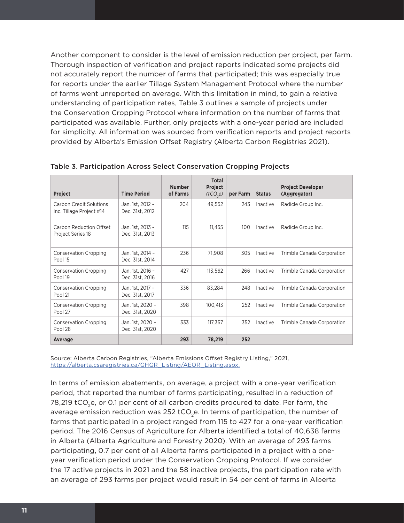Another component to consider is the level of emission reduction per project, per farm. Thorough inspection of verification and project reports indicated some projects did not accurately report the number of farms that participated; this was especially true for reports under the earlier Tillage System Management Protocol where the number of farms went unreported on average. With this limitation in mind, to gain a relative understanding of participation rates, Table 3 outlines a sample of projects under the Conservation Cropping Protocol where information on the number of farms that participated was available. Further, only projects with a one-year period are included for simplicity. All information was sourced from verification reports and project reports provided by Alberta's Emission Offset Registry (Alberta Carbon Registries 2021).

| Project                                                    | <b>Time Period</b>                  | <b>Number</b><br>of Farms | <b>Total</b><br>Project<br>(tCO,e) | per Farm | <b>Status</b> | <b>Project Developer</b><br>(Aggregator) |
|------------------------------------------------------------|-------------------------------------|---------------------------|------------------------------------|----------|---------------|------------------------------------------|
| <b>Carbon Credit Solutions</b><br>Inc. Tillage Project #14 | Jan. 1st, 2012 -<br>Dec. 31st, 2012 | 204                       | 49,552                             | 243      | Inactive      | Radicle Group Inc.                       |
| Carbon Reduction Offset<br>Project Series 18               | Jan. 1st, 2013 -<br>Dec. 31st, 2013 | 115                       | 11,455                             | 100      | Inactive      | Radicle Group Inc.                       |
| <b>Conservation Cropping</b><br>Pool 15                    | Jan. 1st, 2014 -<br>Dec. 31st, 2014 | 236                       | 71,908                             | 305      | Inactive      | Trimble Canada Corporation               |
| <b>Conservation Cropping</b><br>Pool 19                    | Jan. 1st, 2016 -<br>Dec. 31st, 2016 | 427                       | 113,562                            | 266      | Inactive      | Trimble Canada Corporation               |
| <b>Conservation Cropping</b><br>Pool 21                    | Jan. 1st, 2017 -<br>Dec. 31st, 2017 | 336                       | 83,284                             | 248      | Inactive      | Trimble Canada Corporation               |
| <b>Conservation Cropping</b><br>Pool 27                    | Jan. 1st, 2020 -<br>Dec. 31st, 2020 | 398                       | 100,413                            | 252      | Inactive      | Trimble Canada Corporation               |
| <b>Conservation Cropping</b><br>Pool 28                    | Jan. 1st, 2020 -<br>Dec. 31st, 2020 | 333                       | 117,357                            | 352      | Inactive      | Trimble Canada Corporation               |
| Average                                                    |                                     | 293                       | 78,219                             | 252      |               |                                          |

Table 3. Participation Across Select Conservation Cropping Projects

Source: Alberta Carbon Registries, "Alberta Emissions Offset Registry Listing," 2021, [https://alberta.csaregistries.ca/GHGR\\_Listing/AEOR\\_Listing.aspx](https://alberta.csaregistries.ca/GHGR_Listing/AEOR_Listing.aspx).

In terms of emission abatements, on average, a project with a one-year verification period, that reported the number of farms participating, resulted in a reduction of 78,219 tCO<sub>2</sub>e, or 0.1 per cent of all carbon credits procured to date. Per farm, the average emission reduction was 252 tCO<sub>2</sub>e. In terms of participation, the number of farms that participated in a project ranged from 115 to 427 for a one-year verification period. The 2016 Census of Agriculture for Alberta identified a total of 40,638 farms in Alberta (Alberta Agriculture and Forestry 2020). With an average of 293 farms participating, 0.7 per cent of all Alberta farms participated in a project with a oneyear verification period under the Conservation Cropping Protocol. If we consider the 17 active projects in 2021 and the 58 inactive projects, the participation rate with an average of 293 farms per project would result in 54 per cent of farms in Alberta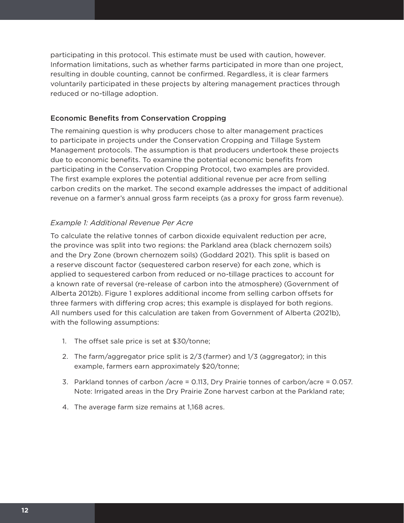participating in this protocol. This estimate must be used with caution, however. Information limitations, such as whether farms participated in more than one project, resulting in double counting, cannot be confirmed. Regardless, it is clear farmers voluntarily participated in these projects by altering management practices through reduced or no-tillage adoption.

#### Economic Benefits from Conservation Cropping

The remaining question is why producers chose to alter management practices to participate in projects under the Conservation Cropping and Tillage System Management protocols. The assumption is that producers undertook these projects due to economic benefits. To examine the potential economic benefits from participating in the Conservation Cropping Protocol, two examples are provided. The first example explores the potential additional revenue per acre from selling carbon credits on the market. The second example addresses the impact of additional revenue on a farmer's annual gross farm receipts (as a proxy for gross farm revenue).

#### *Example 1: Additional Revenue Per Acre*

To calculate the relative tonnes of carbon dioxide equivalent reduction per acre, the province was split into two regions: the Parkland area (black chernozem soils) and the Dry Zone (brown chernozem soils) (Goddard 2021). This split is based on a reserve discount factor (sequestered carbon reserve) for each zone, which is applied to sequestered carbon from reduced or no-tillage practices to account for a known rate of reversal (re-release of carbon into the atmosphere) (Government of Alberta 2012b). Figure 1 explores additional income from selling carbon offsets for three farmers with differing crop acres; this example is displayed for both regions. All numbers used for this calculation are taken from Government of Alberta (2021b), with the following assumptions:

- 1. The offset sale price is set at \$30/tonne;
- 2. The farm/aggregator price split is 2/3 (farmer) and 1/3 (aggregator); in this example, farmers earn approximately \$20/tonne;
- 3. Parkland tonnes of carbon /acre = 0.113, Dry Prairie tonnes of carbon/acre = 0.057. Note: Irrigated areas in the Dry Prairie Zone harvest carbon at the Parkland rate;
- 4. The average farm size remains at 1,168 acres.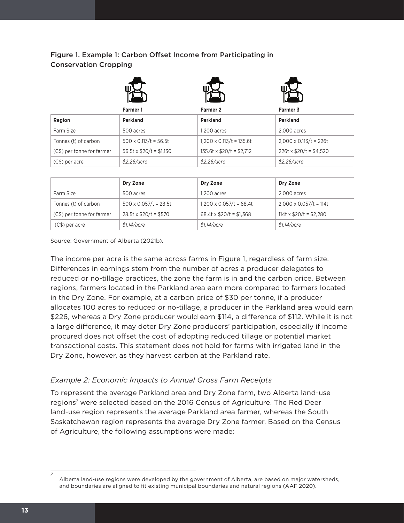## Figure 1. Example 1: Carbon Offset Income from Participating in Conservation Cropping

| Ш<br>L |  |
|--------|--|
|        |  |
|        |  |
|        |  |





|                            | Farmer 1                      | Farmer 2                        | Farmer 3                      |
|----------------------------|-------------------------------|---------------------------------|-------------------------------|
| Region                     | Parkland                      | Parkland                        | Parkland                      |
| Farm Size                  | 500 acres                     | 1.200 acres                     | 2.000 acres                   |
| Tonnes (t) of carbon       | $500 \times 0.113/t = 56.5t$  | $1,200 \times 0.113/t = 135.6t$ | $2,000 \times 0.113/t = 226t$ |
| (C\$) per tonne for farmer | $56.5t \times $20/t = $1,130$ | $135.6t \times $20/t = $2,712$  | $226t \times $20/t = $4,520$  |
| $(C$)$ per acre            | \$2.26/acre                   | \$2.26/acre                     | \$2.26/acre                   |

|                            | Dry Zone                     | Dry Zone                       | Dry Zone                      |
|----------------------------|------------------------------|--------------------------------|-------------------------------|
| Farm Size                  | 500 acres                    | 1.200 acres                    | 2.000 acres                   |
| Tonnes (t) of carbon       | $500 \times 0.057/t = 28.5t$ | $1,200 \times 0.057/t = 68.4t$ | $2,000 \times 0.057/t = 114t$ |
| (C\$) per tonne for farmer | $28.5t \times $20/t = $570$  | 68.4t x $$20/t = $1,368$       | 114t x $$20/t = $2,280$       |
| $(C$)$ per acre            | \$1.14/accre                 | \$1.14/accre                   | \$1.14/accre                  |

Source: Government of Alberta (2021b).

The income per acre is the same across farms in Figure 1, regardless of farm size. Differences in earnings stem from the number of acres a producer delegates to reduced or no-tillage practices, the zone the farm is in and the carbon price. Between regions, farmers located in the Parkland area earn more compared to farmers located in the Dry Zone. For example, at a carbon price of \$30 per tonne, if a producer allocates 100 acres to reduced or no-tillage, a producer in the Parkland area would earn \$226, whereas a Dry Zone producer would earn \$114, a difference of \$112. While it is not a large difference, it may deter Dry Zone producers' participation, especially if income procured does not offset the cost of adopting reduced tillage or potential market transactional costs. This statement does not hold for farms with irrigated land in the Dry Zone, however, as they harvest carbon at the Parkland rate.

#### *Example 2: Economic Impacts to Annual Gross Farm Receipts*

To represent the average Parkland area and Dry Zone farm, two Alberta land-use regions<sup>7</sup> were selected based on the 2016 Census of Agriculture. The Red Deer land-use region represents the average Parkland area farmer, whereas the South Saskatchewan region represents the average Dry Zone farmer. Based on the Census of Agriculture, the following assumptions were made:

*7*

Alberta land-use regions were developed by the government of Alberta, are based on major watersheds, and boundaries are aligned to fit existing municipal boundaries and natural regions (AAF 2020).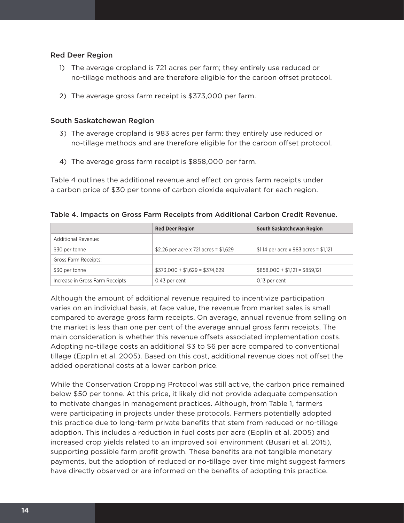#### Red Deer Region

- 1) The average cropland is 721 acres per farm; they entirely use reduced or no-tillage methods and are therefore eligible for the carbon offset protocol.
- 2) The average gross farm receipt is \$373,000 per farm.

#### South Saskatchewan Region

- 3) The average cropland is 983 acres per farm; they entirely use reduced or no-tillage methods and are therefore eligible for the carbon offset protocol.
- 4) The average gross farm receipt is \$858,000 per farm.

Table 4 outlines the additional revenue and effect on gross farm receipts under a carbon price of \$30 per tonne of carbon dioxide equivalent for each region.

Table 4. Impacts on Gross Farm Receipts from Additional Carbon Credit Revenue.

|                                 | <b>Red Deer Region</b>                 | South Saskatchewan Region             |
|---------------------------------|----------------------------------------|---------------------------------------|
| <b>Additional Revenue:</b>      |                                        |                                       |
| \$30 per tonne                  | \$2.26 per acre x 721 acres = $$1,629$ | \$1.14 per acre x 983 acres = \$1,121 |
| Gross Farm Receipts:            |                                        |                                       |
| \$30 per tonne                  | $$373,000 + $1,629 = $374,629$         | $$858,000 + $1,121 = $859,121$        |
| Increase in Gross Farm Receipts | 0.43 per cent                          | 0.13 per cent                         |

Although the amount of additional revenue required to incentivize participation varies on an individual basis, at face value, the revenue from market sales is small compared to average gross farm receipts. On average, annual revenue from selling on the market is less than one per cent of the average annual gross farm receipts. The main consideration is whether this revenue offsets associated implementation costs. Adopting no-tillage costs an additional \$3 to \$6 per acre compared to conventional tillage (Epplin et al. 2005). Based on this cost, additional revenue does not offset the added operational costs at a lower carbon price.

While the Conservation Cropping Protocol was still active, the carbon price remained below \$50 per tonne. At this price, it likely did not provide adequate compensation to motivate changes in management practices. Although, from Table 1, farmers were participating in projects under these protocols. Farmers potentially adopted this practice due to long-term private benefits that stem from reduced or no-tillage adoption. This includes a reduction in fuel costs per acre (Epplin et al. 2005) and increased crop yields related to an improved soil environment (Busari et al. 2015), supporting possible farm profit growth. These benefits are not tangible monetary payments, but the adoption of reduced or no-tillage over time might suggest farmers have directly observed or are informed on the benefits of adopting this practice.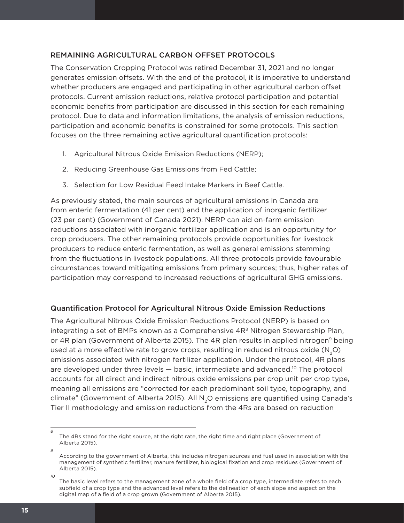#### REMAINING AGRICULTURAL CARBON OFFSET PROTOCOLS

The Conservation Cropping Protocol was retired December 31, 2021 and no longer generates emission offsets. With the end of the protocol, it is imperative to understand whether producers are engaged and participating in other agricultural carbon offset protocols. Current emission reductions, relative protocol participation and potential economic benefits from participation are discussed in this section for each remaining protocol. Due to data and information limitations, the analysis of emission reductions, participation and economic benefits is constrained for some protocols. This section focuses on the three remaining active agricultural quantification protocols:

- 1. Agricultural Nitrous Oxide Emission Reductions (NERP);
- 2. Reducing Greenhouse Gas Emissions from Fed Cattle;
- 3. Selection for Low Residual Feed Intake Markers in Beef Cattle.

As previously stated, the main sources of agricultural emissions in Canada are from enteric fermentation (41 per cent) and the application of inorganic fertilizer (23 per cent) (Government of Canada 2021). NERP can aid on-farm emission reductions associated with inorganic fertilizer application and is an opportunity for crop producers. The other remaining protocols provide opportunities for livestock producers to reduce enteric fermentation, as well as general emissions stemming from the fluctuations in livestock populations. All three protocols provide favourable circumstances toward mitigating emissions from primary sources; thus, higher rates of participation may correspond to increased reductions of agricultural GHG emissions.

#### Quantification Protocol for Agricultural Nitrous Oxide Emission Reductions

The Agricultural Nitrous Oxide Emission Reductions Protocol (NERP) is based on integrating a set of BMPs known as a Comprehensive 4R<sup>8</sup> Nitrogen Stewardship Plan, or 4R plan (Government of Alberta 2015). The 4R plan results in applied nitrogen<sup>9</sup> being used at a more effective rate to grow crops, resulting in reduced nitrous oxide  $(N,0)$ emissions associated with nitrogen fertilizer application. Under the protocol, 4R plans are developed under three levels — basic, intermediate and advanced.10 The protocol accounts for all direct and indirect nitrous oxide emissions per crop unit per crop type, meaning all emissions are "corrected for each predominant soil type, topography, and climate" (Government of Alberta 2015). All N<sub>2</sub>O emissions are quantified using Canada's Tier II methodology and emission reductions from the 4Rs are based on reduction

*10*

*8*

The 4Rs stand for the right source, at the right rate, the right time and right place (Government of Alberta 2015).

*<sup>9</sup>* According to the government of Alberta, this includes nitrogen sources and fuel used in association with the management of synthetic fertilizer, manure fertilizer, biological fixation and crop residues (Government of Alberta 2015).

The basic level refers to the management zone of a whole field of a crop type, intermediate refers to each subfield of a crop type and the advanced level refers to the delineation of each slope and aspect on the digital map of a field of a crop grown (Government of Alberta 2015).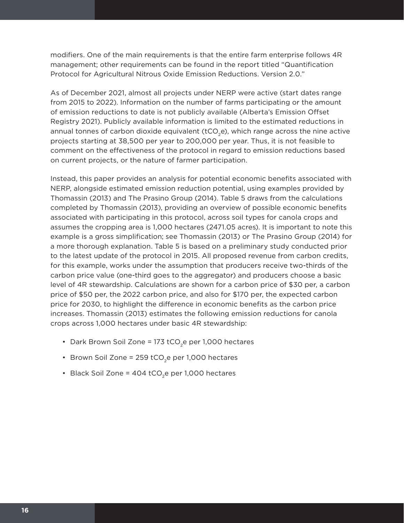modifiers. One of the main requirements is that the entire farm enterprise follows 4R management; other requirements can be found in the report titled "Quantification Protocol for Agricultural Nitrous Oxide Emission Reductions. Version 2.0."

As of December 2021, almost all projects under NERP were active (start dates range from 2015 to 2022). Information on the number of farms participating or the amount of emission reductions to date is not publicly available (Alberta's Emission Offset Registry 2021). Publicly available information is limited to the estimated reductions in annual tonnes of carbon dioxide equivalent ( $tCO<sub>2</sub>e$ ), which range across the nine active projects starting at 38,500 per year to 200,000 per year. Thus, it is not feasible to comment on the effectiveness of the protocol in regard to emission reductions based on current projects, or the nature of farmer participation.

Instead, this paper provides an analysis for potential economic benefits associated with NERP, alongside estimated emission reduction potential, using examples provided by Thomassin (2013) and The Prasino Group (2014). Table 5 draws from the calculations completed by Thomassin (2013), providing an overview of possible economic benefits associated with participating in this protocol, across soil types for canola crops and assumes the cropping area is 1,000 hectares (2471.05 acres). It is important to note this example is a gross simplification; see Thomassin (2013) or The Prasino Group (2014) for a more thorough explanation. Table 5 is based on a preliminary study conducted prior to the latest update of the protocol in 2015. All proposed revenue from carbon credits, for this example, works under the assumption that producers receive two-thirds of the carbon price value (one-third goes to the aggregator) and producers choose a basic level of 4R stewardship. Calculations are shown for a carbon price of \$30 per, a carbon price of \$50 per, the 2022 carbon price, and also for \$170 per, the expected carbon price for 2030, to highlight the difference in economic benefits as the carbon price increases. Thomassin (2013) estimates the following emission reductions for canola crops across 1,000 hectares under basic 4R stewardship:

- Dark Brown Soil Zone = 173 tCO<sub>2</sub>e per 1,000 hectares
- Brown Soil Zone = 259 tCO<sub>2</sub>e per 1,000 hectares
- Black Soil Zone =  $404$  tCO<sub>2</sub>e per 1,000 hectares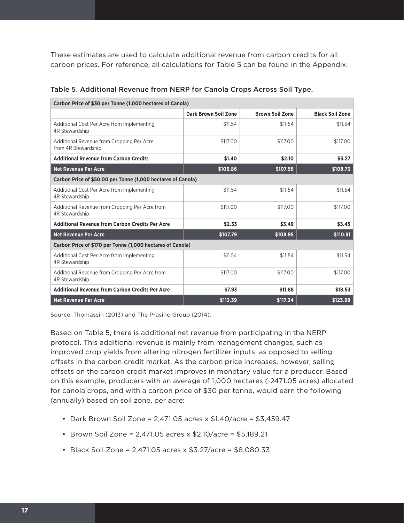These estimates are used to calculate additional revenue from carbon credits for all carbon prices. For reference, all calculations for Table 5 can be found in the Appendix.

| Carbon Price of \$30 per Tonne (1,000 hectares of Canola)        |                      |                        |                        |  |  |  |  |
|------------------------------------------------------------------|----------------------|------------------------|------------------------|--|--|--|--|
|                                                                  | Dark Brown Soil Zone | <b>Brown Soil Zone</b> | <b>Black Soil Zone</b> |  |  |  |  |
| Additional Cost Per Acre from Implementing<br>4R Stewardship     | \$11.54              | \$11.54                | \$11.54                |  |  |  |  |
| Additional Revenue from Cropping Per Acre<br>from 4R Stewardship | \$117,00             | \$117.00               | \$117,00               |  |  |  |  |
| <b>Additional Revenue from Carbon Credits</b>                    | \$1.40               | \$2.10                 | \$3.27                 |  |  |  |  |
| <b>Net Revenue Per Acre</b>                                      | \$106.86             | \$107.56               | \$108.73               |  |  |  |  |
| Carbon Price of \$50.00 per Tonne (1,000 hectares of Canola)     |                      |                        |                        |  |  |  |  |
| Additional Cost Per Acre from Implementing<br>4R Stewardship     | \$11.54              | \$11.54                | \$11.54                |  |  |  |  |
| Additional Revenue from Cropping Per Acre from<br>4R Stewardship | \$117.00             | \$117.00               | \$117.00               |  |  |  |  |
| <b>Additional Revenue from Carbon Credits Per Acre</b>           | \$2.33               | \$3.49                 | \$5.45                 |  |  |  |  |
| <b>Net Revenue Per Acre</b>                                      | \$107.79             | \$108.95               | \$110.91               |  |  |  |  |
| Carbon Price of \$170 per Tonne (1,000 hectares of Canola)       |                      |                        |                        |  |  |  |  |
| Additional Cost Per Acre from Implementing<br>4R Stewardship     | \$11.54              | \$11.54                | \$11.54                |  |  |  |  |
| Additional Revenue from Cropping Per Acre from<br>4R Stewardship | \$117,00             | \$117.00               | \$117.00               |  |  |  |  |
| <b>Additional Revenue from Carbon Credits Per Acre</b>           | \$7.93               | \$11.88                | \$18.53                |  |  |  |  |
| <b>Net Revenue Per Acre</b>                                      | \$113.39             | \$117.34               | \$123.99               |  |  |  |  |

#### Table 5. Additional Revenue from NERP for Canola Crops Across Soil Type.

Source: Thomassin (2013) and The Prasino Group (2014).

Based on Table 5, there is additional net revenue from participating in the NERP protocol. This additional revenue is mainly from management changes, such as improved crop yields from altering nitrogen fertilizer inputs, as opposed to selling offsets in the carbon credit market. As the carbon price increases, however, selling offsets on the carbon credit market improves in monetary value for a producer. Based on this example, producers with an average of 1,000 hectares (~2471.05 acres) allocated for canola crops, and with a carbon price of \$30 per tonne, would earn the following (annually) based on soil zone, per acre:

- Dark Brown Soil Zone = 2,471.05 acres x \$1.40/acre = \$3,459.47
- Brown Soil Zone = 2,471.05 acres x \$2.10/acre = \$5,189.21
- Black Soil Zone = 2,471.05 acres x \$3.27/acre = \$8,080.33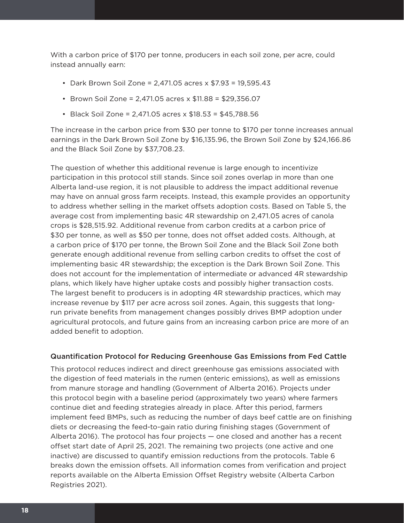With a carbon price of \$170 per tonne, producers in each soil zone, per acre, could instead annually earn:

- Dark Brown Soil Zone = 2,471.05 acres x \$7.93 = 19,595.43
- Brown Soil Zone = 2,471.05 acres x \$11.88 = \$29,356.07
- Black Soil Zone = 2,471.05 acres x \$18.53 = \$45,788.56

The increase in the carbon price from \$30 per tonne to \$170 per tonne increases annual earnings in the Dark Brown Soil Zone by \$16,135.96, the Brown Soil Zone by \$24,166.86 and the Black Soil Zone by \$37,708.23.

The question of whether this additional revenue is large enough to incentivize participation in this protocol still stands. Since soil zones overlap in more than one Alberta land-use region, it is not plausible to address the impact additional revenue may have on annual gross farm receipts. Instead, this example provides an opportunity to address whether selling in the market offsets adoption costs. Based on Table 5, the average cost from implementing basic 4R stewardship on 2,471.05 acres of canola crops is \$28,515.92. Additional revenue from carbon credits at a carbon price of \$30 per tonne, as well as \$50 per tonne, does not offset added costs. Although, at a carbon price of \$170 per tonne, the Brown Soil Zone and the Black Soil Zone both generate enough additional revenue from selling carbon credits to offset the cost of implementing basic 4R stewardship; the exception is the Dark Brown Soil Zone. This does not account for the implementation of intermediate or advanced 4R stewardship plans, which likely have higher uptake costs and possibly higher transaction costs. The largest benefit to producers is in adopting 4R stewardship practices, which may increase revenue by \$117 per acre across soil zones. Again, this suggests that longrun private benefits from management changes possibly drives BMP adoption under agricultural protocols, and future gains from an increasing carbon price are more of an added benefit to adoption.

#### Quantification Protocol for Reducing Greenhouse Gas Emissions from Fed Cattle

This protocol reduces indirect and direct greenhouse gas emissions associated with the digestion of feed materials in the rumen (enteric emissions), as well as emissions from manure storage and handling (Government of Alberta 2016). Projects under this protocol begin with a baseline period (approximately two years) where farmers continue diet and feeding strategies already in place. After this period, farmers implement feed BMPs, such as reducing the number of days beef cattle are on finishing diets or decreasing the feed-to-gain ratio during finishing stages (Government of Alberta 2016). The protocol has four projects — one closed and another has a recent offset start date of April 25, 2021. The remaining two projects (one active and one inactive) are discussed to quantify emission reductions from the protocols. Table 6 breaks down the emission offsets. All information comes from verification and project reports available on the Alberta Emission Offset Registry website (Alberta Carbon Registries 2021).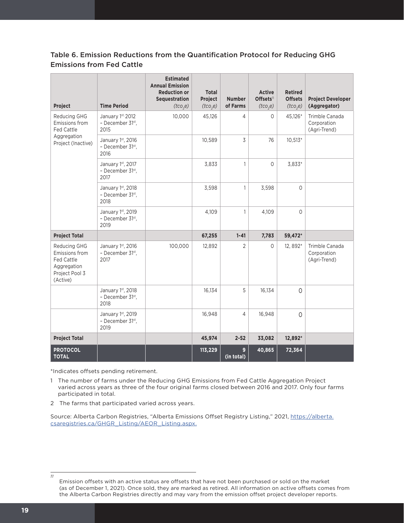### Table 6. Emission Reductions from the Quantification Protocol for Reducing GHG Emissions from Fed Cattle

| Project                                                                                                 | <b>Time Period</b>                            | <b>Estimated</b><br><b>Annual Emission</b><br><b>Reduction or</b><br>Sequestration<br>(tco,e) | <b>Total</b><br>Project<br>(tco <sub>2</sub> e) | <b>Number</b><br>of Farms | <b>Active</b><br>Offsets <sup>11</sup><br>(tco,e) | <b>Retired</b><br><b>Offsets</b><br>(tco <sub>2</sub> e) | <b>Project Developer</b><br>(Aggregator)      |
|---------------------------------------------------------------------------------------------------------|-----------------------------------------------|-----------------------------------------------------------------------------------------------|-------------------------------------------------|---------------------------|---------------------------------------------------|----------------------------------------------------------|-----------------------------------------------|
| Reducing GHG<br>Emissions from<br>Fed Cattle                                                            | January 1st, 2012<br>- December 31st,<br>2015 | 10,000                                                                                        | 45,126                                          | 4                         | $\Omega$                                          | 45,126*                                                  | Trimble Canada<br>Corporation<br>(Agri-Trend) |
| Aggregation<br>Project (Inactive)                                                                       | January 1st, 2016<br>- December 31st,<br>2016 |                                                                                               | 10,589                                          | 3                         | 76                                                | $10,513*$                                                |                                               |
|                                                                                                         | January 1st, 2017<br>- December 31st,<br>2017 |                                                                                               | 3,833                                           | 1                         | $\Omega$                                          | 3,833*                                                   |                                               |
|                                                                                                         | January 1st, 2018<br>- December 31st,<br>2018 |                                                                                               | 3,598                                           | $\mathbf{1}$              | 3,598                                             | $\Omega$                                                 |                                               |
|                                                                                                         | January 1st, 2019<br>- December 31st,<br>2019 |                                                                                               | 4,109                                           | 1                         | 4.109                                             | $\Omega$                                                 |                                               |
| <b>Project Total</b>                                                                                    |                                               |                                                                                               | 67,255                                          | $1 - 41$                  | 7,783                                             | 59,472*                                                  |                                               |
| <b>Reducing GHG</b><br>Emissions from<br><b>Fed Cattle</b><br>Aggregation<br>Project Pool 3<br>(Active) | January 1st, 2016<br>- December 31st,<br>2017 | 100,000                                                                                       | 12,892                                          | $\overline{2}$            | $\Omega$                                          | 12, 892*                                                 | Trimble Canada<br>Corporation<br>(Agri-Trend) |
|                                                                                                         | January 1st, 2018<br>- December 31st,<br>2018 |                                                                                               | 16,134                                          | 5                         | 16,134                                            | $\Omega$                                                 |                                               |
|                                                                                                         | January 1st, 2019<br>- December 31st,<br>2019 |                                                                                               | 16,948                                          | $\overline{4}$            | 16,948                                            | $\Omega$                                                 |                                               |
| <b>Project Total</b>                                                                                    |                                               |                                                                                               | 45,974                                          | $2 - 52$                  | 33,082                                            | 12,892*                                                  |                                               |
| <b>PROTOCOL</b><br><b>TOTAL</b>                                                                         |                                               |                                                                                               | 113,229                                         | 9<br>(in total)           | 40,865                                            | 72,364                                                   |                                               |

\*Indicates offsets pending retirement.

1 The number of farms under the Reducing GHG Emissions from Fed Cattle Aggregation Project varied across years as three of the four original farms closed between 2016 and 2017. Only four farms participated in total.

2 The farms that participated varied across years.

Source: Alberta Carbon Registries, "Alberta Emissions Offset Registry Listing," 2021, [https://alberta.](https://alberta.csaregistries.ca/GHGR_Listing/AEOR_Listing.aspx) [csaregistries.ca/GHGR\\_Listing/AEOR\\_Listing.aspx](https://alberta.csaregistries.ca/GHGR_Listing/AEOR_Listing.aspx).

*<sup>11</sup>*

Emission offsets with an active status are offsets that have not been purchased or sold on the market (as of December 1, 2021). Once sold, they are marked as retired. All information on active offsets comes from the Alberta Carbon Registries directly and may vary from the emission offset project developer reports.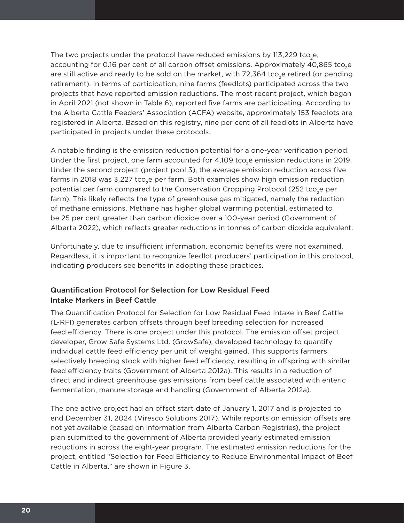The two projects under the protocol have reduced emissions by 113,229 tco.e. accounting for 0.16 per cent of all carbon offset emissions. Approximately 40,865 tco<sub>3</sub>e are still active and ready to be sold on the market, with  $72,364$  tco<sub>2</sub>e retired (or pending retirement). In terms of participation, nine farms (feedlots) participated across the two projects that have reported emission reductions. The most recent project, which began in April 2021 (not shown in Table 6), reported five farms are participating. According to the Alberta Cattle Feeders' Association (ACFA) website, approximately 153 feedlots are registered in Alberta. Based on this registry, nine per cent of all feedlots in Alberta have participated in projects under these protocols.

A notable finding is the emission reduction potential for a one-year verification period. Under the first project, one farm accounted for 4,109 tco<sub>3</sub>e emission reductions in 2019. Under the second project (project pool 3), the average emission reduction across five farms in 2018 was 3,227 tco<sub>3</sub>e per farm. Both examples show high emission reduction potential per farm compared to the Conservation Cropping Protocol (252 tco<sub>3</sub>e per farm). This likely reflects the type of greenhouse gas mitigated, namely the reduction of methane emissions. Methane has higher global warming potential, estimated to be 25 per cent greater than carbon dioxide over a 100-year period (Government of Alberta 2022), which reflects greater reductions in tonnes of carbon dioxide equivalent.

Unfortunately, due to insufficient information, economic benefits were not examined. Regardless, it is important to recognize feedlot producers' participation in this protocol, indicating producers see benefits in adopting these practices.

#### Quantification Protocol for Selection for Low Residual Feed Intake Markers in Beef Cattle

The Quantification Protocol for Selection for Low Residual Feed Intake in Beef Cattle (L-RFI) generates carbon offsets through beef breeding selection for increased feed efficiency. There is one project under this protocol. The emission offset project developer, Grow Safe Systems Ltd. (GrowSafe), developed technology to quantify individual cattle feed efficiency per unit of weight gained. This supports farmers selectively breeding stock with higher feed efficiency, resulting in offspring with similar feed efficiency traits (Government of Alberta 2012a). This results in a reduction of direct and indirect greenhouse gas emissions from beef cattle associated with enteric fermentation, manure storage and handling (Government of Alberta 2012a).

The one active project had an offset start date of January 1, 2017 and is projected to end December 31, 2024 (Viresco Solutions 2017). While reports on emission offsets are not yet available (based on information from Alberta Carbon Registries), the project plan submitted to the government of Alberta provided yearly estimated emission reductions in across the eight-year program. The estimated emission reductions for the project, entitled "Selection for Feed Efficiency to Reduce Environmental Impact of Beef Cattle in Alberta," are shown in Figure 3.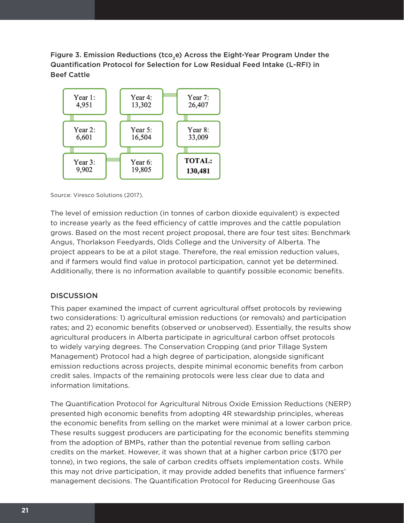Figure 3. Emission Reductions (tco<sub>2</sub>e) Across the Eight-Year Program Under the Quantification Protocol for Selection for Low Residual Feed Intake (L-RFI) in Beef Cattle



Source: Viresco Solutions (2017).

The level of emission reduction (in tonnes of carbon dioxide equivalent) is expected to increase yearly as the feed efficiency of cattle improves and the cattle population grows. Based on the most recent project proposal, there are four test sites: Benchmark Angus, Thorlakson Feedyards, Olds College and the University of Alberta. The project appears to be at a pilot stage. Therefore, the real emission reduction values, and if farmers would find value in protocol participation, cannot yet be determined. Additionally, there is no information available to quantify possible economic benefits.

#### **DISCUSSION**

This paper examined the impact of current agricultural offset protocols by reviewing two considerations: 1) agricultural emission reductions (or removals) and participation rates; and 2) economic benefits (observed or unobserved). Essentially, the results show agricultural producers in Alberta participate in agricultural carbon offset protocols to widely varying degrees. The Conservation Cropping (and prior Tillage System Management) Protocol had a high degree of participation, alongside significant emission reductions across projects, despite minimal economic benefits from carbon credit sales. Impacts of the remaining protocols were less clear due to data and information limitations.

The Quantification Protocol for Agricultural Nitrous Oxide Emission Reductions (NERP) presented high economic benefits from adopting 4R stewardship principles, whereas the economic benefits from selling on the market were minimal at a lower carbon price. These results suggest producers are participating for the economic benefits stemming from the adoption of BMPs, rather than the potential revenue from selling carbon credits on the market. However, it was shown that at a higher carbon price (\$170 per tonne), in two regions, the sale of carbon credits offsets implementation costs. While this may not drive participation, it may provide added benefits that influence farmers' management decisions. The Quantification Protocol for Reducing Greenhouse Gas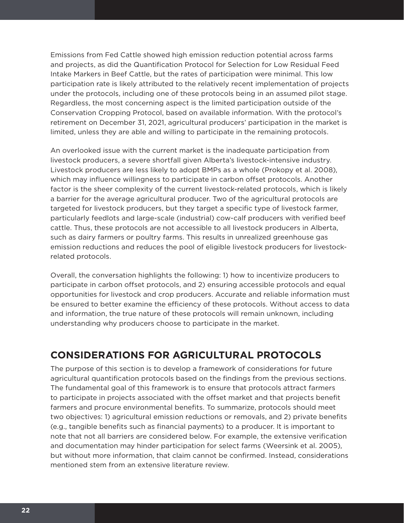Emissions from Fed Cattle showed high emission reduction potential across farms and projects, as did the Quantification Protocol for Selection for Low Residual Feed Intake Markers in Beef Cattle, but the rates of participation were minimal. This low participation rate is likely attributed to the relatively recent implementation of projects under the protocols, including one of these protocols being in an assumed pilot stage. Regardless, the most concerning aspect is the limited participation outside of the Conservation Cropping Protocol, based on available information. With the protocol's retirement on December 31, 2021, agricultural producers' participation in the market is limited, unless they are able and willing to participate in the remaining protocols.

An overlooked issue with the current market is the inadequate participation from livestock producers, a severe shortfall given Alberta's livestock-intensive industry. Livestock producers are less likely to adopt BMPs as a whole (Prokopy et al. 2008), which may influence willingness to participate in carbon offset protocols. Another factor is the sheer complexity of the current livestock-related protocols, which is likely a barrier for the average agricultural producer. Two of the agricultural protocols are targeted for livestock producers, but they target a specific type of livestock farmer, particularly feedlots and large-scale (industrial) cow-calf producers with verified beef cattle. Thus, these protocols are not accessible to all livestock producers in Alberta, such as dairy farmers or poultry farms. This results in unrealized greenhouse gas emission reductions and reduces the pool of eligible livestock producers for livestockrelated protocols.

Overall, the conversation highlights the following: 1) how to incentivize producers to participate in carbon offset protocols, and 2) ensuring accessible protocols and equal opportunities for livestock and crop producers. Accurate and reliable information must be ensured to better examine the efficiency of these protocols. Without access to data and information, the true nature of these protocols will remain unknown, including understanding why producers choose to participate in the market.

## **CONSIDERATIONS FOR AGRICULTURAL PROTOCOLS**

The purpose of this section is to develop a framework of considerations for future agricultural quantification protocols based on the findings from the previous sections. The fundamental goal of this framework is to ensure that protocols attract farmers to participate in projects associated with the offset market and that projects benefit farmers and procure environmental benefits. To summarize, protocols should meet two objectives: 1) agricultural emission reductions or removals, and 2) private benefits (e.g., tangible benefits such as financial payments) to a producer. It is important to note that not all barriers are considered below. For example, the extensive verification and documentation may hinder participation for select farms (Weersink et al. 2005), but without more information, that claim cannot be confirmed. Instead, considerations mentioned stem from an extensive literature review.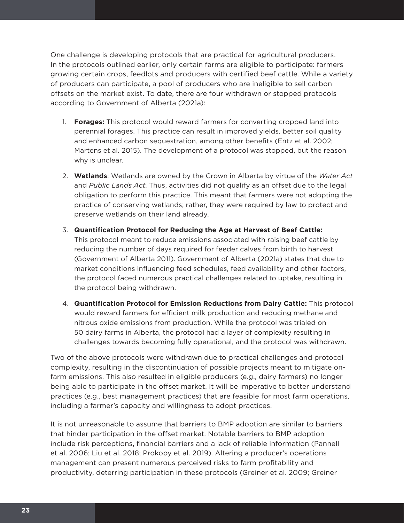One challenge is developing protocols that are practical for agricultural producers. In the protocols outlined earlier, only certain farms are eligible to participate: farmers growing certain crops, feedlots and producers with certified beef cattle. While a variety of producers can participate, a pool of producers who are ineligible to sell carbon offsets on the market exist. To date, there are four withdrawn or stopped protocols according to Government of Alberta (2021a):

- 1. **Forages:** This protocol would reward farmers for converting cropped land into perennial forages. This practice can result in improved yields, better soil quality and enhanced carbon sequestration, among other benefits (Entz et al. 2002; Martens et al. 2015). The development of a protocol was stopped, but the reason why is unclear.
- 2. **Wetlands**: Wetlands are owned by the Crown in Alberta by virtue of the *Water Act*  and *Public Lands Act*. Thus, activities did not qualify as an offset due to the legal obligation to perform this practice. This meant that farmers were not adopting the practice of conserving wetlands; rather, they were required by law to protect and preserve wetlands on their land already.
- 3. **Quantification Protocol for Reducing the Age at Harvest of Beef Cattle:** This protocol meant to reduce emissions associated with raising beef cattle by reducing the number of days required for feeder calves from birth to harvest (Government of Alberta 2011). Government of Alberta (2021a) states that due to market conditions influencing feed schedules, feed availability and other factors, the protocol faced numerous practical challenges related to uptake, resulting in the protocol being withdrawn.
- 4. **Quantification Protocol for Emission Reductions from Dairy Cattle:** This protocol would reward farmers for efficient milk production and reducing methane and nitrous oxide emissions from production. While the protocol was trialed on 50 dairy farms in Alberta, the protocol had a layer of complexity resulting in challenges towards becoming fully operational, and the protocol was withdrawn.

Two of the above protocols were withdrawn due to practical challenges and protocol complexity, resulting in the discontinuation of possible projects meant to mitigate onfarm emissions. This also resulted in eligible producers (e.g., dairy farmers) no longer being able to participate in the offset market. It will be imperative to better understand practices (e.g., best management practices) that are feasible for most farm operations, including a farmer's capacity and willingness to adopt practices.

It is not unreasonable to assume that barriers to BMP adoption are similar to barriers that hinder participation in the offset market. Notable barriers to BMP adoption include risk perceptions, financial barriers and a lack of reliable information (Pannell et al. 2006; Liu et al. 2018; Prokopy et al. 2019). Altering a producer's operations management can present numerous perceived risks to farm profitability and productivity, deterring participation in these protocols (Greiner et al. 2009; Greiner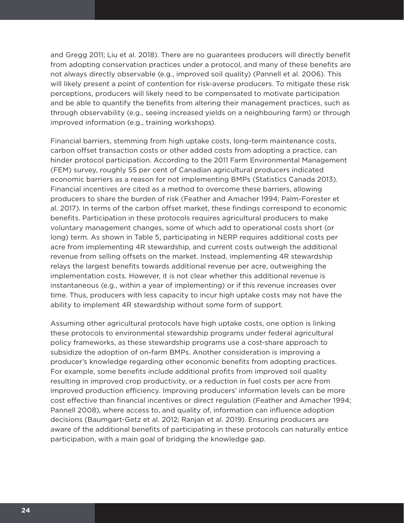and Gregg 2011; Liu et al. 2018). There are no guarantees producers will directly benefit from adopting conservation practices under a protocol, and many of these benefits are not always directly observable (e.g., improved soil quality) (Pannell et al. 2006). This will likely present a point of contention for risk-averse producers. To mitigate these risk perceptions, producers will likely need to be compensated to motivate participation and be able to quantify the benefits from altering their management practices, such as through observability (e.g., seeing increased yields on a neighbouring farm) or through improved information (e.g., training workshops).

Financial barriers, stemming from high uptake costs, long-term maintenance costs, carbon offset transaction costs or other added costs from adopting a practice, can hinder protocol participation. According to the 2011 Farm Environmental Management (FEM) survey, roughly 55 per cent of Canadian agricultural producers indicated economic barriers as a reason for not implementing BMPs (Statistics Canada 2013). Financial incentives are cited as a method to overcome these barriers, allowing producers to share the burden of risk (Feather and Amacher 1994; Palm-Forester et al. 2017). In terms of the carbon offset market, these findings correspond to economic benefits. Participation in these protocols requires agricultural producers to make voluntary management changes, some of which add to operational costs short (or long) term. As shown in Table 5, participating in NERP requires additional costs per acre from implementing 4R stewardship, and current costs outweigh the additional revenue from selling offsets on the market. Instead, implementing 4R stewardship relays the largest benefits towards additional revenue per acre, outweighing the implementation costs. However, it is not clear whether this additional revenue is instantaneous (e.g., within a year of implementing) or if this revenue increases over time. Thus, producers with less capacity to incur high uptake costs may not have the ability to implement 4R stewardship without some form of support.

Assuming other agricultural protocols have high uptake costs, one option is linking these protocols to environmental stewardship programs under federal agricultural policy frameworks, as these stewardship programs use a cost-share approach to subsidize the adoption of on-farm BMPs. Another consideration is improving a producer's knowledge regarding other economic benefits from adopting practices. For example, some benefits include additional profits from improved soil quality resulting in improved crop productivity, or a reduction in fuel costs per acre from improved production efficiency. Improving producers' information levels can be more cost effective than financial incentives or direct regulation (Feather and Amacher 1994; Pannell 2008), where access to, and quality of, information can influence adoption decisions (Baumgart-Getz et al. 2012; Ranjan et al. 2019). Ensuring producers are aware of the additional benefits of participating in these protocols can naturally entice participation, with a main goal of bridging the knowledge gap.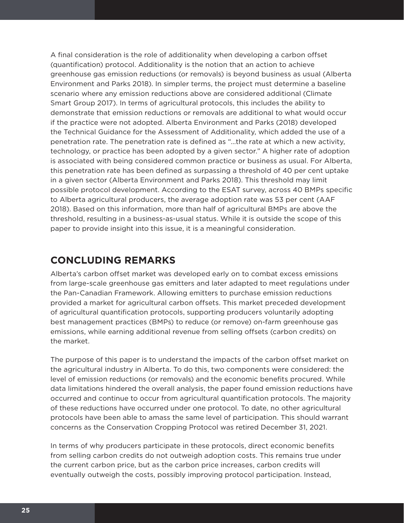A final consideration is the role of additionality when developing a carbon offset (quantification) protocol. Additionality is the notion that an action to achieve greenhouse gas emission reductions (or removals) is beyond business as usual (Alberta Environment and Parks 2018). In simpler terms, the project must determine a baseline scenario where any emission reductions above are considered additional (Climate Smart Group 2017). In terms of agricultural protocols, this includes the ability to demonstrate that emission reductions or removals are additional to what would occur if the practice were not adopted. Alberta Environment and Parks (2018) developed the Technical Guidance for the Assessment of Additionality, which added the use of a penetration rate. The penetration rate is defined as "…the rate at which a new activity, technology, or practice has been adopted by a given sector." A higher rate of adoption is associated with being considered common practice or business as usual. For Alberta, this penetration rate has been defined as surpassing a threshold of 40 per cent uptake in a given sector (Alberta Environment and Parks 2018). This threshold may limit possible protocol development. According to the ESAT survey, across 40 BMPs specific to Alberta agricultural producers, the average adoption rate was 53 per cent (AAF 2018). Based on this information, more than half of agricultural BMPs are above the threshold, resulting in a business-as-usual status. While it is outside the scope of this paper to provide insight into this issue, it is a meaningful consideration.

## **CONCLUDING REMARKS**

Alberta's carbon offset market was developed early on to combat excess emissions from large-scale greenhouse gas emitters and later adapted to meet regulations under the Pan-Canadian Framework. Allowing emitters to purchase emission reductions provided a market for agricultural carbon offsets. This market preceded development of agricultural quantification protocols, supporting producers voluntarily adopting best management practices (BMPs) to reduce (or remove) on-farm greenhouse gas emissions, while earning additional revenue from selling offsets (carbon credits) on the market.

The purpose of this paper is to understand the impacts of the carbon offset market on the agricultural industry in Alberta. To do this, two components were considered: the level of emission reductions (or removals) and the economic benefits procured. While data limitations hindered the overall analysis, the paper found emission reductions have occurred and continue to occur from agricultural quantification protocols. The majority of these reductions have occurred under one protocol. To date, no other agricultural protocols have been able to amass the same level of participation. This should warrant concerns as the Conservation Cropping Protocol was retired December 31, 2021.

In terms of why producers participate in these protocols, direct economic benefits from selling carbon credits do not outweigh adoption costs. This remains true under the current carbon price, but as the carbon price increases, carbon credits will eventually outweigh the costs, possibly improving protocol participation. Instead,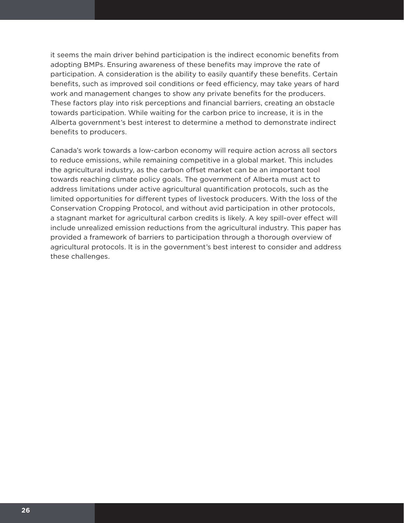it seems the main driver behind participation is the indirect economic benefits from adopting BMPs. Ensuring awareness of these benefits may improve the rate of participation. A consideration is the ability to easily quantify these benefits. Certain benefits, such as improved soil conditions or feed efficiency, may take years of hard work and management changes to show any private benefits for the producers. These factors play into risk perceptions and financial barriers, creating an obstacle towards participation. While waiting for the carbon price to increase, it is in the Alberta government's best interest to determine a method to demonstrate indirect benefits to producers.

Canada's work towards a low-carbon economy will require action across all sectors to reduce emissions, while remaining competitive in a global market. This includes the agricultural industry, as the carbon offset market can be an important tool towards reaching climate policy goals. The government of Alberta must act to address limitations under active agricultural quantification protocols, such as the limited opportunities for different types of livestock producers. With the loss of the Conservation Cropping Protocol, and without avid participation in other protocols, a stagnant market for agricultural carbon credits is likely. A key spill-over effect will include unrealized emission reductions from the agricultural industry. This paper has provided a framework of barriers to participation through a thorough overview of agricultural protocols. It is in the government's best interest to consider and address these challenges.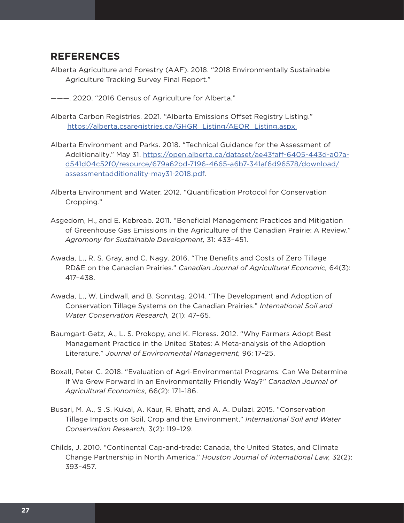## **REFERENCES**

- Alberta Agriculture and Forestry (AAF). 2018. "2018 Environmentally Sustainable Agriculture Tracking Survey Final Report."
- ———. 2020. "2016 Census of Agriculture for Alberta."
- Alberta Carbon Registries. 2021. "Alberta Emissions Offset Registry Listing." https://alberta.csaregistries.ca/GHGR\_Listing/AEOR\_Listing.aspx.
- Alberta Environment and Parks. 2018. "Technical Guidance for the Assessment of Additionality." May 31. https://open.alberta.ca/dataset/ae43faff-6405-443d-a07ad541d04c52f0/resource/679a62bd-7196-4665-a6b7-341af6d96578/download/ assessmentadditionality-may31-2018.pdf.
- Alberta Environment and Water. 2012. "Quantification Protocol for Conservation Cropping."
- Asgedom, H., and E. Kebreab. 2011. "Beneficial Management Practices and Mitigation of Greenhouse Gas Emissions in the Agriculture of the Canadian Prairie: A Review." *Agromony for Sustainable Development,* 31: 433–451.
- Awada, L., R. S. Gray, and C. Nagy. 2016. "The Benefits and Costs of Zero Tillage RD&E on the Canadian Prairies." *Canadian Journal of Agricultural Economic,* 64(3): 417–438.
- Awada, L., W. Lindwall, and B. Sonntag. 2014. "The Development and Adoption of Conservation Tillage Systems on the Canadian Prairies." *International Soil and Water Conservation Research,* 2(1): 47–65.
- Baumgart-Getz, A., L. S. Prokopy, and K. Floress. 2012. "Why Farmers Adopt Best Management Practice in the United States: A Meta-analysis of the Adoption Literature." *Journal of Environmental Management,* 96: 17–25.
- Boxall, Peter C. 2018. "Evaluation of Agri-Environmental Programs: Can We Determine If We Grew Forward in an Environmentally Friendly Way?" *Canadian Journal of Agricultural Economics,* 66(2): 171–186.
- Busari, M. A., S .S. Kukal, A. Kaur, R. Bhatt, and A. A. Dulazi. 2015. "Conservation Tillage Impacts on Soil, Crop and the Environment." *International Soil and Water Conservation Research,* 3(2): 119–129.
- Childs, J. 2010. "Continental Cap-and-trade: Canada, the United States, and Climate Change Partnership in North America." *Houston Journal of International Law,* 32(2): 393–457.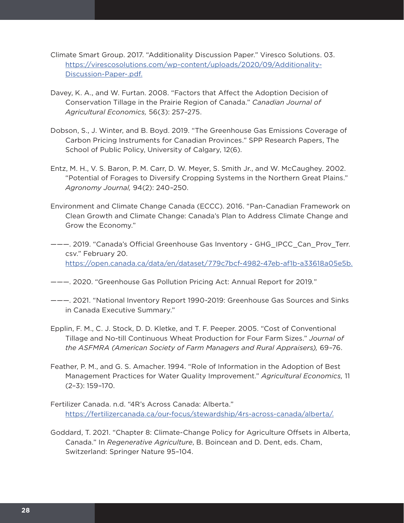- Climate Smart Group. 2017. "Additionality Discussion Paper." Viresco Solutions. 03. https://virescosolutions.com/wp-content/uploads/2020/09/Additionality-Discussion-Paper-.pdf.
- Davey, K. A., and W. Furtan. 2008. "Factors that Affect the Adoption Decision of Conservation Tillage in the Prairie Region of Canada." *Canadian Journal of Agricultural Economics,* 56(3): 257–275.
- Dobson, S., J. Winter, and B. Boyd. 2019. "The Greenhouse Gas Emissions Coverage of Carbon Pricing Instruments for Canadian Provinces." SPP Research Papers, The School of Public Policy, University of Calgary, 12(6).
- Entz, M. H., V. S. Baron, P. M. Carr, D. W. Meyer, S. Smith Jr., and W. McCaughey. 2002. "Potential of Forages to Diversify Cropping Systems in the Northern Great Plains." *Agronomy Journal,* 94(2): 240–250.
- Environment and Climate Change Canada (ECCC). 2016. "Pan-Canadian Framework on Clean Growth and Climate Change: Canada's Plan to Address Climate Change and Grow the Economy."
- ———. 2019. "Canada's Official Greenhouse Gas Inventory GHG\_IPCC\_Can\_Prov\_Terr. csv." February 20. https://open.canada.ca/data/en/dataset/779c7bcf-4982-47eb-af1b-a33618a05e5b.
- ———. 2020. "Greenhouse Gas Pollution Pricing Act: Annual Report for 2019*.*"
- ———. 2021. "National Inventory Report 1990-2019: Greenhouse Gas Sources and Sinks in Canada Executive Summary."
- Epplin, F. M., C. J. Stock, D. D. Kletke, and T. F. Peeper. 2005. "Cost of Conventional Tillage and No-till Continuous Wheat Production for Four Farm Sizes." *Journal of the ASFMRA (American Society of Farm Managers and Rural Appraisers),* 69–76.
- Feather, P. M., and G. S. Amacher. 1994. "Role of Information in the Adoption of Best Management Practices for Water Quality Improvement." *Agricultural Economics,* 11 (2–3): 159–170.
- Fertilizer Canada. n.d. "4R's Across Canada: Alberta." https://fertilizercanada.ca/our-focus/stewardship/4rs-across-canada/alberta/.
- Goddard, T. 2021. "Chapter 8: Climate-Change Policy for Agriculture Offsets in Alberta, Canada." In *Regenerative Agriculture*, B. Boincean and D. Dent, eds. Cham, Switzerland: Springer Nature 95–104.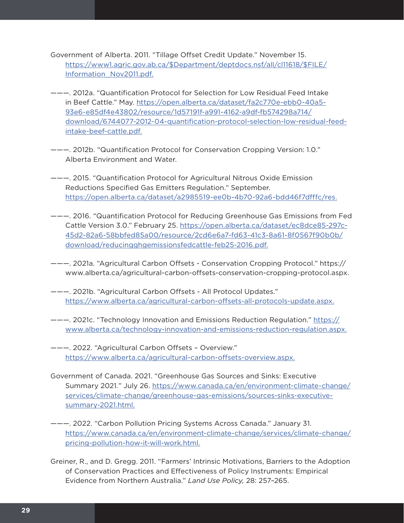- Government of Alberta. 2011. "Tillage Offset Credit Update." November 15. https://www1.agric.gov.ab.ca/\$Department/deptdocs.nsf/all/cl11618/\$FILE/ Information\_Nov2011.pdf.
- ———. 2012a. "Quantification Protocol for Selection for Low Residual Feed Intake in Beef Cattle." May. https://open.alberta.ca/dataset/fa2c770e-ebb0-40a5- 93e6-e85df4e43802/resource/1d57191f-a991-4162-a9df-fb574298a714/ download/6744077-2012-04-quantification-protocol-selection-low-residual-feedintake-beef-cattle.pdf.
- ———. 2012b. "Quantification Protocol for Conservation Cropping Version: 1.0." Alberta Environment and Water.
- ———. 2015. "Quantification Protocol for Agricultural Nitrous Oxide Emission Reductions Specified Gas Emitters Regulation." September. https://open.alberta.ca/dataset/a2985519-ee0b-4b70-92a6-bdd46f7dfffc/res.
- ———. 2016. "Quantification Protocol for Reducing Greenhouse Gas Emissions from Fed Cattle Version 3.0." February 25. https://open.alberta.ca/dataset/ec8dce85-297c-45d2-82a6-58bbfed85a00/resource/2cd6e6a7-fd63-41c3-8a61-8f0567f90b0b/ download/reducingghgemissionsfedcattle-feb25-2016.pdf.
- ———. 2021a. "Agricultural Carbon Offsets Conservation Cropping Protocol." https:// www.alberta.ca/agricultural-carbon-offsets-conservation-cropping-protocol.aspx.
- ———. 2021b. "Agricultural Carbon Offsets All Protocol Updates." https://www.alberta.ca/agricultural-carbon-offsets-all-protocols-update.aspx.
- ———. 2021c. "Technology Innovation and Emissions Reduction Regulation." https:// www.alberta.ca/technology-innovation-and-emissions-reduction-regulation.aspx.
- ———. 2022. "Agricultural Carbon Offsets Overview." https://www.alberta.ca/agricultural-carbon-offsets-overview.aspx.
- Government of Canada. 2021. "Greenhouse Gas Sources and Sinks: Executive Summary 2021*.*" July 26. https://www.canada.ca/en/environment-climate-change/ services/climate-change/greenhouse-gas-emissions/sources-sinks-executivesummary-2021.html.
- ———. 2022. "Carbon Pollution Pricing Systems Across Canada." January 31. https://www.canada.ca/en/environment-climate-change/services/climate-change/ pricing-pollution-how-it-will-work.html.
- Greiner, R., and D. Gregg. 2011. "Farmers' Intrinsic Motivations, Barriers to the Adoption of Conservation Practices and Effectiveness of Policy Instruments: Empirical Evidence from Northern Australia." *Land Use Policy,* 28: 257–265.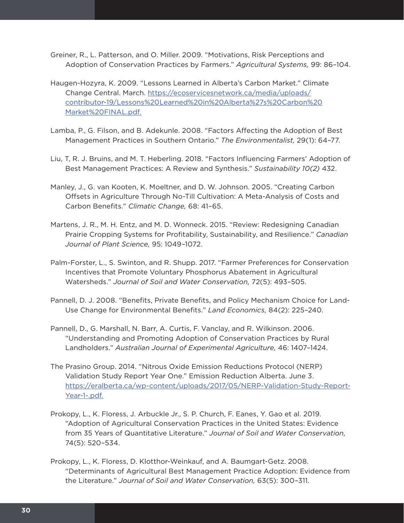- Greiner, R., L. Patterson, and O. Miller. 2009. "Motivations, Risk Perceptions and Adoption of Conservation Practices by Farmers." *Agricultural Systems,* 99: 86–104.
- Haugen-Hozyra, K. 2009. "Lessons Learned in Alberta's Carbon Market." Climate Change Central. March. https://ecoservicesnetwork.ca/media/uploads/ contributor-19/Lessons%20Learned%20in%20Alberta%27s%20Carbon%20 Market%20FINAL.pdf.
- Lamba, P., G. Filson, and B. Adekunle. 2008. "Factors Affecting the Adoption of Best Management Practices in Southern Ontario." *The Environmentalist,* 29(1): 64–77.
- Liu, T, R. J. Bruins, and M. T. Heberling. 2018. "Factors Influencing Farmers' Adoption of Best Management Practices: A Review and Synthesis." *Sustainability 10(2)* 432.
- Manley, J., G. van Kooten, K. Moeltner, and D. W. Johnson. 2005. "Creating Carbon Offsets in Agriculture Through No-Till Cultivation: A Meta-Analysis of Costs and Carbon Benefits." *Climatic Change,* 68: 41–65.
- Martens, J. R., M. H. Entz, and M. D. Wonneck. 2015. "Review: Redesigning Canadian Prairie Cropping Systems for Profitability, Sustainability, and Resilience." *Canadian Journal of Plant Science,* 95: 1049–1072.
- Palm-Forster, L., S. Swinton, and R. Shupp. 2017. "Farmer Preferences for Conservation Incentives that Promote Voluntary Phosphorus Abatement in Agricultural Watersheds." *Journal of Soil and Water Conservation,* 72(5): 493–505.
- Pannell, D. J. 2008. "Benefits, Private Benefits, and Policy Mechanism Choice for Land-Use Change for Environmental Benefits." *Land Economics,* 84(2): 225–240.
- Pannell, D., G. Marshall, N. Barr, A. Curtis, F. Vanclay, and R. Wilkinson. 2006. "Understanding and Promoting Adoption of Conservation Practices by Rural Landholders." *Australian Journal of Experimental Agriculture,* 46: 1407–1424.
- The Prasino Group. 2014. "Nitrous Oxide Emission Reductions Protocol (NERP) Validation Study Report Year One." Emission Reduction Alberta. June 3. https://eralberta.ca/wp-content/uploads/2017/05/NERP-Validation-Study-Report-Year-1-.pdf.
- Prokopy, L., K. Floress, J. Arbuckle Jr., S. P. Church, F. Eanes, Y. Gao et al. 2019. "Adoption of Agricultural Conservation Practices in the United States: Evidence from 35 Years of Quantitative Literature." *Journal of Soil and Water Conservation,* 74(5): 520–534.
- Prokopy, L., K. Floress, D. Klotthor-Weinkauf, and A. Baumgart-Getz. 2008. "Determinants of Agricultural Best Management Practice Adoption: Evidence from the Literature." *Journal of Soil and Water Conservation,* 63(5): 300–311.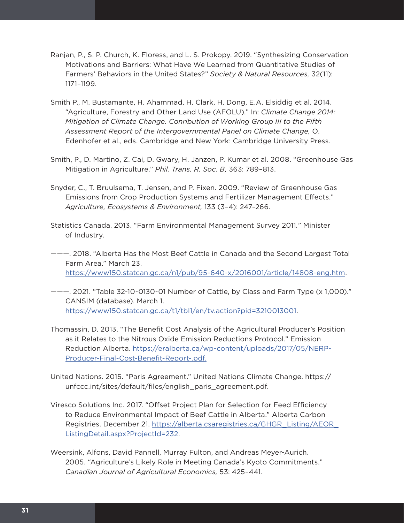- Ranjan, P., S. P. Church, K. Floress, and L. S. Prokopy. 2019. "Synthesizing Conservation Motivations and Barriers: What Have We Learned from Quantitative Studies of Farmers' Behaviors in the United States?" *Society & Natural Resources,* 32(11): 1171–1199.
- Smith P., M. Bustamante, H. Ahammad, H. Clark, H. Dong, E.A. Elsiddig et al. 2014. "Agriculture, Forestry and Other Land Use (AFOLU)." In: *Climate Change 2014: Mitigation of Climate Change. Conribution of Working Group III to the Fifth Assessment Report of the Intergovernmental Panel on Climate Change,* O. Edenhofer et al., eds. Cambridge and New York: Cambridge University Press.
- Smith, P., D. Martino, Z. Cai, D. Gwary, H. Janzen, P. Kumar et al. 2008. "Greenhouse Gas Mitigation in Agriculture." *Phil. Trans. R. Soc. B,* 363: 789–813.
- Snyder, C., T. Bruulsema, T. Jensen, and P. Fixen. 2009. "Review of Greenhouse Gas Emissions from Crop Production Systems and Fertilizer Management Effects." *Agriculture, Ecosystems & Environment,* 133 (3–4): 247–266.
- Statistics Canada. 2013. "Farm Environmental Management Survey 2011*.*" Minister of Industry.
- ———. 2018. "Alberta Has the Most Beef Cattle in Canada and the Second Largest Total Farm Area." March 23. https://www150.statcan.gc.ca/n1/pub/95-640-x/2016001/article/14808-eng.htm.
- ———. 2021. "Table 32-10-0130-01 Number of Cattle, by Class and Farm Type (x 1,000)." CANSIM (database). March 1. https://www150.statcan.gc.ca/t1/tbl1/en/tv.action?pid=3210013001.
- Thomassin, D. 2013. "The Benefit Cost Analysis of the Agricultural Producer's Position as it Relates to the Nitrous Oxide Emission Reductions Protocol." Emission Reduction Alberta. https://eralberta.ca/wp-content/uploads/2017/05/NERP-Producer-Final-Cost-Benefit-Report-.pdf.
- United Nations. 2015. "Paris Agreement." United Nations Climate Change. https:// unfccc.int/sites/default/files/english\_paris\_agreement.pdf.
- Viresco Solutions Inc. 2017. "Offset Project Plan for Selection for Feed Efficiency to Reduce Environmental Impact of Beef Cattle in Alberta." Alberta Carbon Registries. December 21. https://alberta.csaregistries.ca/GHGR\_Listing/AEOR\_ ListingDetail.aspx?ProjectId=232.
- Weersink, Alfons, David Pannell, Murray Fulton, and Andreas Meyer-Aurich. 2005. "Agriculture's Likely Role in Meeting Canada's Kyoto Commitments." *Canadian Journal of Agricultural Economics,* 53: 425–441.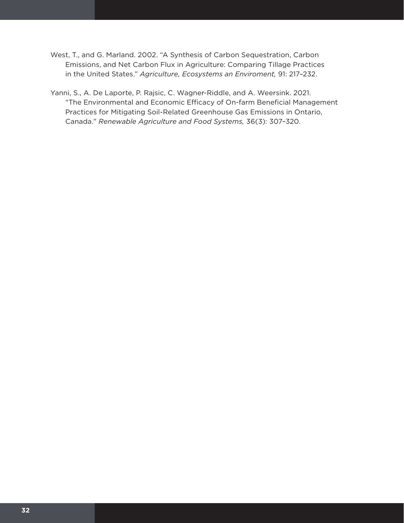- West, T., and G. Marland. 2002. "A Synthesis of Carbon Sequestration, Carbon Emissions, and Net Carbon Flux in Agriculture: Comparing Tillage Practices in the United States." *Agriculture, Ecosystems an Enviroment,* 91: 217–232.
- Yanni, S., A. De Laporte, P. Rajsic, C. Wagner-Riddle, and A. Weersink. 2021. "The Environmental and Economic Efficacy of On-farm Beneficial Management Practices for Mitigating Soil-Related Greenhouse Gas Emissions in Ontario, Canada." *Renewable Agriculture and Food Systems,* 36(3): 307–320.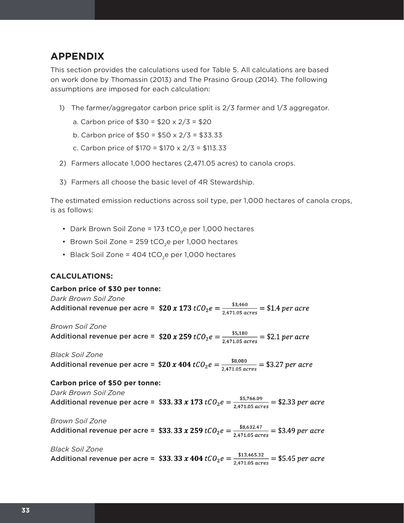## **APPENDIX**

This section provides the calculations used for Table 5. All calculations are based on work done by Thomassin (2013) and The Prasino Group (2014). The following assumptions are imposed for each calculation:

- 1) The farmer/aggregator carbon price split is 2/3 farmer and 1/3 aggregator.
	- a. Carbon price of  $$30 = $20 \times 2/3 = $20$
	- b. Carbon price of \$50 = \$50 x 2/3 = \$33.33
	- c. Carbon price of \$170 = \$170 x 2/3 = \$113.33
- 2) Farmers allocate 1,000 hectares (2,471.05 acres) to canola crops.
- 3) Farmers all choose the basic level of 4R Stewardship.

The estimated emission reductions across soil type, per 1,000 hectares of canola crops, is as follows:

- Dark Brown Soil Zone = 173 tCO<sub>2</sub>e per 1,000 hectares
- Brown Soil Zone = 259 tCO<sub>2</sub>e per 1,000 hectares
- Black Soil Zone = 404 tCO<sub>2</sub>e per 1,000 hectares

#### **CALCULATIONS:**

#### **Carbon price of \$30 per tonne:**

*Dark Brown Soil Zone* Additional revenue per acre =  $$20 x 173 tC0_2 e = \frac{$3,460}{$2471.05 gcres} = $1.4 per acre$ 

*Brown Soil Zone* Additional revenue per acre =  $$20 x 259 tCO_2e = \frac{$5,180}{$2471.05 \text{ acres}} = $2.1 \text{ per acre}$ 

*Black Soil Zone* Additional revenue per acre =  $$20 x 404 tC0_2e = \frac{$8,080}{$2.471.05 acres} = $3.27 per acre$ 

#### **Carbon price of \$50 per tonne:**

*Dark Brown Soil Zone*

Additional revenue per acre = \$33.33 x 173  $tCO_2e = \frac{$5,766.09}{2.471.05 \text{ g}cres} = $2.33 \text{ per acre}$ 

*Brown Soil Zone* Additional revenue per acre = \$33.33 x 259  $tCO_2e = \frac{$8,632.47}{2.471.05 \text{ g}cres} = $3.49 \text{ per acre}$ 

*Black Soil Zone* Additional revenue per acre = \$33.33 x 404  $tCO_2e = \frac{\$13,465.32}{2.471.05 \text{ g}cres} = \$5.45 \text{ per acre}$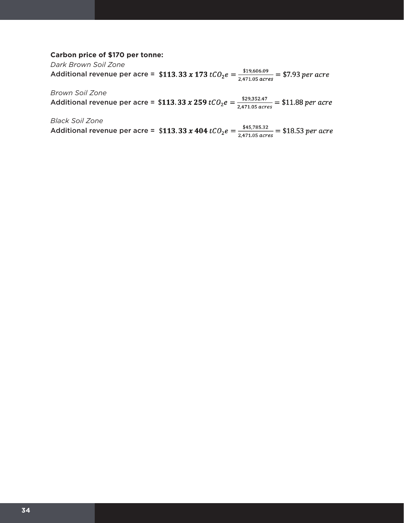#### **Carbon price of \$170 per tonne:**

*Dark Brown Soil Zone*  Additional revenue per acre = \$113.33 x 173  $tCO_2e = \frac{$19,606.09}{2,471.05 \text{ acres}}$  = \$7.93 per acre

*Brown Soil Zone* 

Additional revenue per acre = \$113.33 x 259  $tCO_2e = \frac{$29,352.47}{2,471.05 \text{ acres}} = $11.88 \text{ per acre}$ 

*Black Soil Zone*

Additional revenue per acre = \$113.33 x 404  $tCO_2e = \frac{$45,785.32}{2,471.05 \text{ acres}} = $18.53 \text{ per acre}$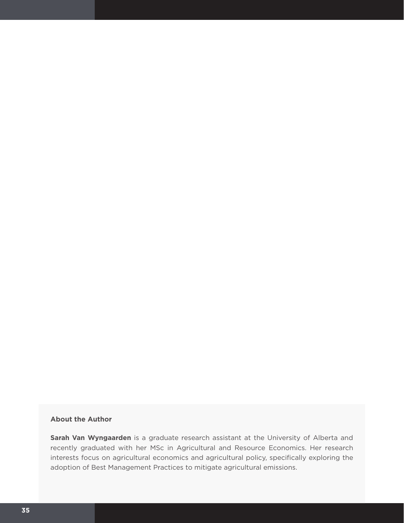#### **About the Author**

**Sarah Van Wyngaarden** is a graduate research assistant at the University of Alberta and recently graduated with her MSc in Agricultural and Resource Economics. Her research interests focus on agricultural economics and agricultural policy, specifically exploring the adoption of Best Management Practices to mitigate agricultural emissions.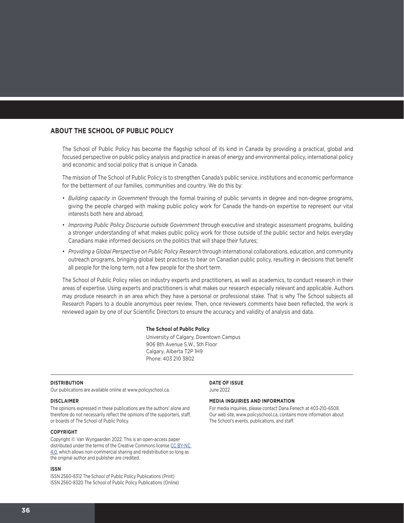#### **ABOUT THE SCHOOL OF PUBLIC POLICY**

The School of Public Policy has become the flagship school of its kind in Canada by providing a practical, global and focused perspective on public policy analysis and practice in areas of energy and environmental policy, international policy and economic and social policy that is unique in Canada.

The mission of The School of Public Policy is to strengthen Canada's public service, institutions and economic performance for the betterment of our families, communities and country. We do this by:

- *• Building capacity in Government* through the formal training of public servants in degree and non-degree programs, giving the people charged with making public policy work for Canada the hands-on expertise to represent our vital interests both here and abroad;
- *• Improving Public Policy Discourse outside Government* through executive and strategic assessment programs, building a stronger understanding of what makes public policy work for those outside of the public sector and helps everyday Canadians make informed decisions on the politics that will shape their futures;
- *• Providing a Global Perspective on Public Policy Research* through international collaborations, education, and community outreach programs, bringing global best practices to bear on Canadian public policy, resulting in decisions that benefit all people for the long term, not a few people for the short term.

The School of Public Policy relies on industry experts and practitioners, as well as academics, to conduct research in their areas of expertise. Using experts and practitioners is what makes our research especially relevant and applicable. Authors may produce research in an area which they have a personal or professional stake. That is why The School subjects all Research Papers to a double anonymous peer review. Then, once reviewers comments have been reflected, the work is reviewed again by one of our Scientific Directors to ensure the accuracy and validity of analysis and data.

#### **The School of Public Policy**

University of Calgary, Downtown Campus 906 8th Avenue S.W., 5th Floor Calgary, Alberta T2P 1H9 Phone: 403 210 3802

#### **DISTRIBUTION**

Our publications are available online at www.policyschool.ca.

#### **DISCLAIMER**

The opinions expressed in these publications are the authors' alone and therefore do not necessarily reflect the opinions of the supporters, staff, or boards of The School of Public Policy.

#### **COPYRIGHT**

Copyright © Van Wyngaarden 2022. This is an open-access paper distributed under the terms of the Creative Commons license CC BY-NC [4.0](https://creativecommons.org/licenses/by-nc/4.0/), which allows non-commercial sharing and redistribution so long as the original author and publisher are credited.

#### **ISSN**

ISSN 2560-8312 The School of Public Policy Publications (Print) ISSN 2560-8320 The School of Public Policy Publications (Online) **DATE OF ISSUE** June 2022

#### **MEDIA INQUIRIES AND INFORMATION**

For media inquiries, please contact Dana Fenech at 403-210-6508. Our web site, www.policyschool.ca, contains more information about The School's events, publications, and staff.